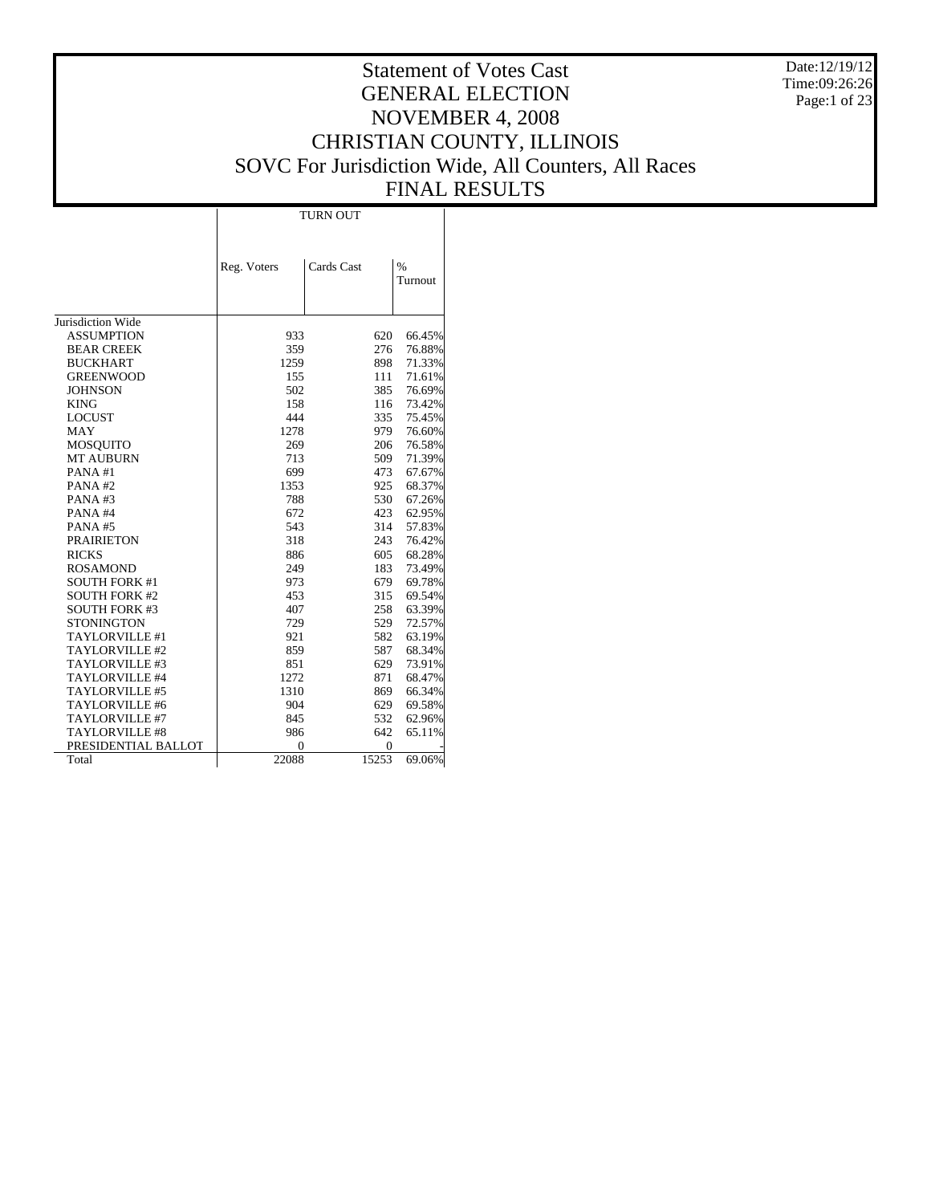Date:12/19/12 Time:09:26:26 Page:1 of 23

# Statement of Votes Cast GENERAL ELECTION NOVEMBER 4, 2008 CHRISTIAN COUNTY, ILLINOIS SOVC For Jurisdiction Wide, All Counters, All Races FINAL RESULTS

Τ

|                       | Reg. Voters | Cards Cast | $\frac{0}{0}$ |
|-----------------------|-------------|------------|---------------|
|                       |             |            | Turnout       |
|                       |             |            |               |
| Jurisdiction Wide     |             |            |               |
| <b>ASSUMPTION</b>     | 933         | 620        | 66.45%        |
| <b>BEAR CREEK</b>     | 359         | 276        | 76.88%        |
| <b>BUCKHART</b>       | 1259        | 898        | 71.33%        |
| <b>GREENWOOD</b>      | 155         | 111        | 71.61%        |
| <b>JOHNSON</b>        | 502         | 385        | 76.69%        |
| <b>KING</b>           | 158         | 116        | 73.42%        |
| <b>LOCUST</b>         | 444         | 335        | 75.45%        |
| MAY                   | 1278        | 979        | 76.60%        |
| MOSQUITO              | 269         | 206        | 76.58%        |
| <b>MT AUBURN</b>      | 713         | 509        | 71.39%        |
| PANA#1                | 699         | 473        | 67.67%        |
| PANA#2                | 1353        | 925        | 68.37%        |
| PANA#3                | 788         | 530        | 67.26%        |
| PANA#4                | 672         | 423        | 62.95%        |
| <b>PANA#5</b>         | 543         | 314        | 57.83%        |
| <b>PRAIRIETON</b>     | 318         | 243        | 76.42%        |
| <b>RICKS</b>          | 886         | 605        | 68.28%        |
| <b>ROSAMOND</b>       | 249         | 183        | 73.49%        |
| <b>SOUTH FORK #1</b>  | 973         | 679        | 69.78%        |
| <b>SOUTH FORK #2</b>  | 453         | 315        | 69.54%        |
| <b>SOUTH FORK #3</b>  | 407         | 258        | 63.39%        |
| <b>STONINGTON</b>     | 729         | 529        | 72.57%        |
| <b>TAYLORVILLE #1</b> | 921         | 582        | 63.19%        |
| TAYLORVILLE #2        | 859         | 587        | 68.34%        |
| TAYLORVILLE #3        | 851         | 629        | 73.91%        |
| TAYLORVILLE #4        | 1272        | 871        | 68.47%        |
| TAYLORVILLE #5        | 1310        | 869        | 66.34%        |
| TAYLORVILLE #6        | 904         | 629        | 69.58%        |
| TAYLORVILLE #7        | 845         | 532        | 62.96%        |
| <b>TAYLORVILLE #8</b> | 986         | 642        | 65.11%        |
| PRESIDENTIAL BALLOT   | $\Omega$    | 0          |               |
| Total                 | 22088       | 15253      | 69.06%        |

 $\top$ 

TURN OUT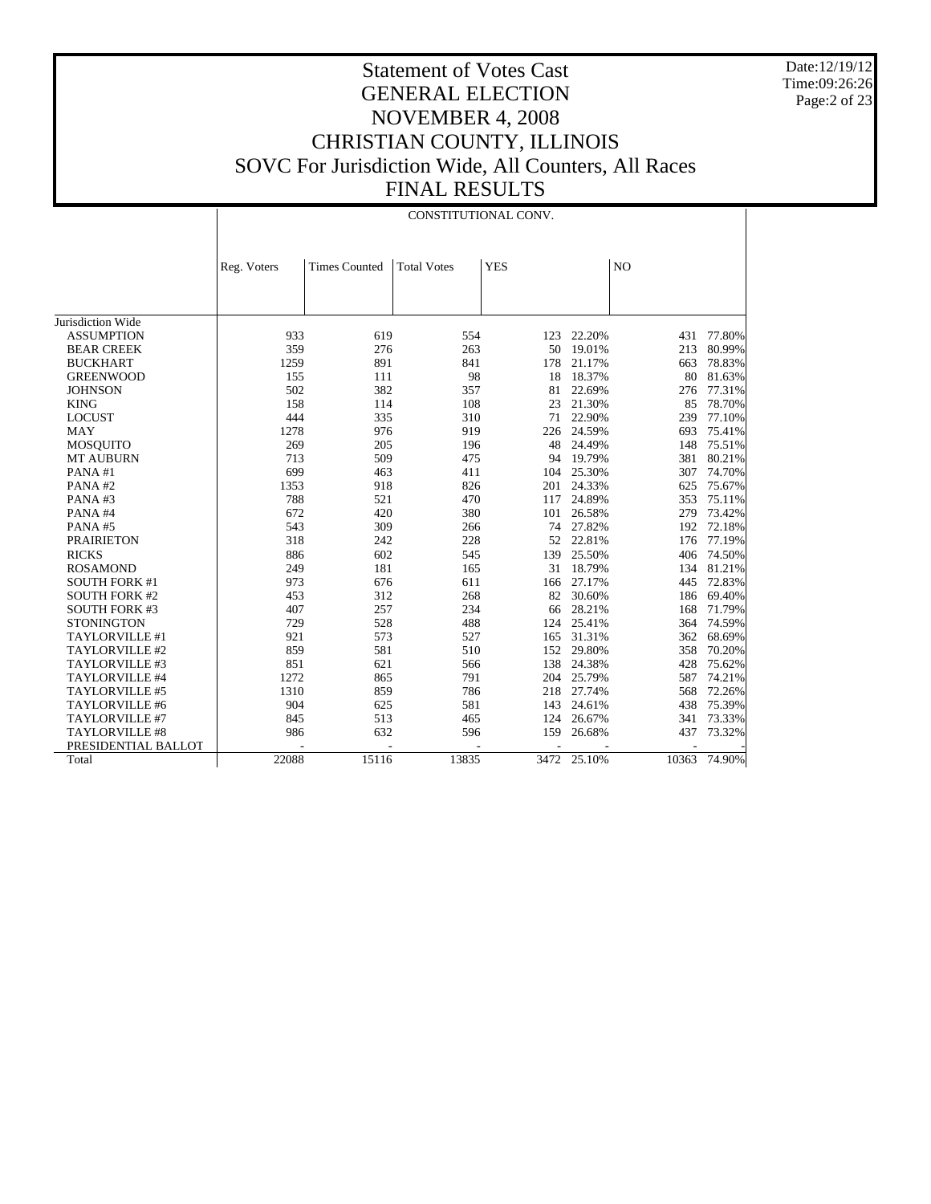Date:12/19/12 Time:09:26:26 Page:2 of 23

|                       |             | CONSTITUTIONAL CONV. |                    |            |             |                |        |  |  |
|-----------------------|-------------|----------------------|--------------------|------------|-------------|----------------|--------|--|--|
|                       |             |                      |                    |            |             |                |        |  |  |
|                       | Reg. Voters | <b>Times Counted</b> | <b>Total Votes</b> | <b>YES</b> |             | N <sub>O</sub> |        |  |  |
|                       |             |                      |                    |            |             |                |        |  |  |
|                       |             |                      |                    |            |             |                |        |  |  |
| Jurisdiction Wide     |             |                      |                    |            |             |                |        |  |  |
| <b>ASSUMPTION</b>     | 933         | 619                  | 554                | 123        | 22.20%      | 431            | 77.80% |  |  |
| <b>BEAR CREEK</b>     | 359         | 276                  | 263                | 50         | 19.01%      | 213            | 80.99% |  |  |
| <b>BUCKHART</b>       | 1259        | 891                  | 841                | 178        | 21.17%      | 663            | 78.83% |  |  |
| <b>GREENWOOD</b>      | 155         | 111                  | 98                 | 18         | 18.37%      | 80             | 81.63% |  |  |
| <b>JOHNSON</b>        | 502         | 382                  | 357                | 81         | 22.69%      | 276            | 77.31% |  |  |
| <b>KING</b>           | 158         | 114                  | 108                | 23         | 21.30%      | 85             | 78.70% |  |  |
| <b>LOCUST</b>         | 444         | 335                  | 310                | 71         | 22.90%      | 239            | 77.10% |  |  |
| <b>MAY</b>            | 1278        | 976                  | 919                | 226        | 24.59%      | 693            | 75.41% |  |  |
| <b>MOSOUITO</b>       | 269         | 205                  | 196                | 48         | 24.49%      | 148            | 75.51% |  |  |
| <b>MT AUBURN</b>      | 713         | 509                  | 475                | 94         | 19.79%      | 381            | 80.21% |  |  |
| PANA#1                | 699         | 463                  | 411                | 104        | 25.30%      | 307            | 74.70% |  |  |
| PANA#2                | 1353        | 918                  | 826                | 201        | 24.33%      | 625            | 75.67% |  |  |
| PANA#3                | 788         | 521                  | 470                | 117        | 24.89%      | 353            | 75.11% |  |  |
| PANA#4                | 672         | 420                  | 380                | 101        | 26.58%      | 279            | 73.42% |  |  |
| PANA#5                | 543         | 309                  | 266                | 74         | 27.82%      | 192            | 72.18% |  |  |
| <b>PRAIRIETON</b>     | 318         | 242                  | 228                |            | 52 22.81%   | 176            | 77.19% |  |  |
| <b>RICKS</b>          | 886         | 602                  | 545                | 139        | 25.50%      | 406            | 74.50% |  |  |
| <b>ROSAMOND</b>       | 249         | 181                  | 165                | 31         | 18.79%      | 134            | 81.21% |  |  |
| <b>SOUTH FORK #1</b>  | 973         | 676                  | 611                | 166        | 27.17%      | 445            | 72.83% |  |  |
| <b>SOUTH FORK #2</b>  | 453         | 312                  | 268                | 82         | 30.60%      | 186            | 69.40% |  |  |
| <b>SOUTH FORK #3</b>  | 407         | 257                  | 234                | 66         | 28.21%      | 168            | 71.79% |  |  |
| <b>STONINGTON</b>     | 729         | 528                  | 488                | 124        | 25.41%      | 364            | 74.59% |  |  |
| TAYLORVILLE #1        | 921         | 573                  | 527                | 165        | 31.31%      | 362            | 68.69% |  |  |
| TAYLORVILLE #2        | 859         | 581                  | 510                |            | 152 29.80%  | 358            | 70.20% |  |  |
| TAYLORVILLE #3        | 851         | 621                  | 566                | 138        | 24.38%      | 428            | 75.62% |  |  |
| TAYLORVILLE #4        | 1272        | 865                  | 791                | 204        | 25.79%      | 587            | 74.21% |  |  |
| TAYLORVILLE #5        | 1310        | 859                  | 786                |            | 218 27.74%  | 568            | 72.26% |  |  |
| TAYLORVILLE #6        | 904         | 625                  | 581                | 143        | 24.61%      | 438            | 75.39% |  |  |
| TAYLORVILLE #7        | 845         | 513                  | 465                | 124        | 26.67%      | 341            | 73.33% |  |  |
| <b>TAYLORVILLE #8</b> | 986         | 632                  | 596                | 159        | 26.68%      | 437            | 73.32% |  |  |
| PRESIDENTIAL BALLOT   |             |                      |                    |            |             |                |        |  |  |
| Total                 | 22088       | 15116                | 13835              |            | 3472 25.10% | 10363          | 74.90% |  |  |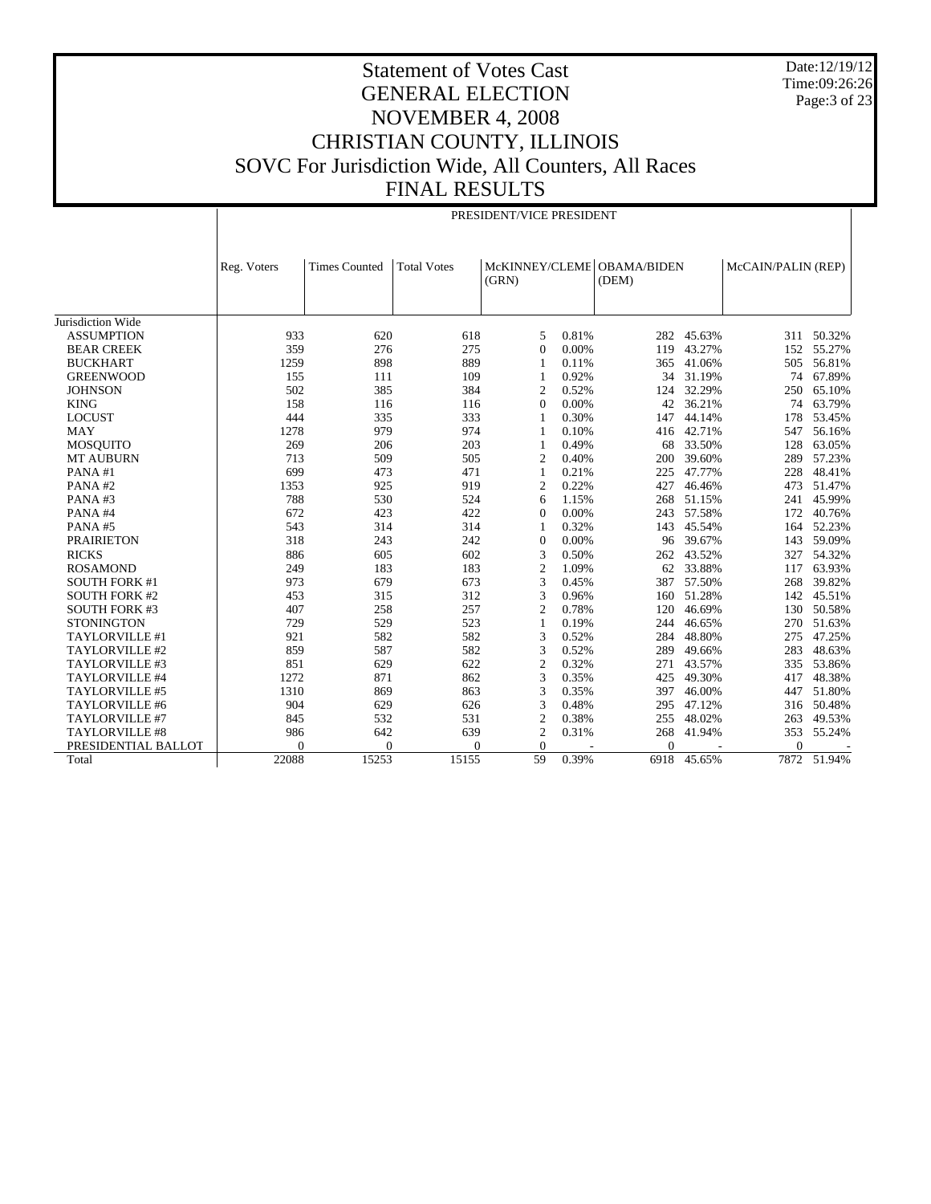Date:12/19/12 Time:09:26:26 Page:3 of 23

# Statement of Votes Cast GENERAL ELECTION NOVEMBER 4, 2008 CHRISTIAN COUNTY, ILLINOIS SOVC For Jurisdiction Wide, All Counters, All Races FINAL RESULTS

|                      |             | PRESIDENT/VICE PRESIDENT |                    |                |       |                                     |        |                    |             |  |  |
|----------------------|-------------|--------------------------|--------------------|----------------|-------|-------------------------------------|--------|--------------------|-------------|--|--|
|                      | Reg. Voters | <b>Times Counted</b>     | <b>Total Votes</b> | (GRN)          |       | McKINNEY/CLEME OBAMA/BIDEN<br>(DEM) |        | McCAIN/PALIN (REP) |             |  |  |
| Jurisdiction Wide    |             |                          |                    |                |       |                                     |        |                    |             |  |  |
| <b>ASSUMPTION</b>    | 933         | 620                      | 618                | 5              | 0.81% | 282                                 | 45.63% | 311                | 50.32%      |  |  |
| <b>BEAR CREEK</b>    | 359         | 276                      | 275                | $\Omega$       | 0.00% | 119                                 | 43.27% | 152                | 55.27%      |  |  |
| <b>BUCKHART</b>      | 1259        | 898                      | 889                | 1              | 0.11% | 365                                 | 41.06% | 505                | 56.81%      |  |  |
| <b>GREENWOOD</b>     | 155         | 111                      | 109                | 1              | 0.92% | 34                                  | 31.19% | 74                 | 67.89%      |  |  |
| <b>JOHNSON</b>       | 502         | 385                      | 384                | 2              | 0.52% | 124                                 | 32.29% | 250                | 65.10%      |  |  |
| <b>KING</b>          | 158         | 116                      | 116                | $\mathbf{0}$   | 0.00% | 42                                  | 36.21% | 74                 | 63.79%      |  |  |
| <b>LOCUST</b>        | 444         | 335                      | 333                | $\mathbf{1}$   | 0.30% | 147                                 | 44.14% | 178                | 53.45%      |  |  |
| <b>MAY</b>           | 1278        | 979                      | 974                | 1              | 0.10% | 416                                 | 42.71% | 547                | 56.16%      |  |  |
| <b>MOSQUITO</b>      | 269         | 206                      | 203                | $\mathbf{1}$   | 0.49% | 68                                  | 33.50% | 128                | 63.05%      |  |  |
| <b>MT AUBURN</b>     | 713         | 509                      | 505                | $\overline{2}$ | 0.40% | 200                                 | 39.60% | 289                | 57.23%      |  |  |
| PANA#1               | 699         | 473                      | 471                | 1              | 0.21% | 225                                 | 47.77% | 228                | 48.41%      |  |  |
| PANA#2               | 1353        | 925                      | 919                | $\overline{2}$ | 0.22% | 427                                 | 46.46% | 473                | 51.47%      |  |  |
| PANA#3               | 788         | 530                      | 524                | 6              | 1.15% | 268                                 | 51.15% | 241                | 45.99%      |  |  |
| PANA#4               | 672         | 423                      | 422                | $\Omega$       | 0.00% | 243                                 | 57.58% | 172                | 40.76%      |  |  |
| PANA#5               | 543         | 314                      | 314                | 1              | 0.32% | 143                                 | 45.54% | 164                | 52.23%      |  |  |
| <b>PRAIRIETON</b>    | 318         | 243                      | 242                | $\overline{0}$ | 0.00% | 96                                  | 39.67% | 143                | 59.09%      |  |  |
| <b>RICKS</b>         | 886         | 605                      | 602                | 3              | 0.50% | 262                                 | 43.52% | 327                | 54.32%      |  |  |
| <b>ROSAMOND</b>      | 249         | 183                      | 183                | $\overline{2}$ | 1.09% | 62                                  | 33.88% | 117                | 63.93%      |  |  |
| <b>SOUTH FORK #1</b> | 973         | 679                      | 673                | 3              | 0.45% | 387                                 | 57.50% | 268                | 39.82%      |  |  |
| <b>SOUTH FORK #2</b> | 453         | 315                      | 312                | 3              | 0.96% | 160                                 | 51.28% | 142                | 45.51%      |  |  |
| <b>SOUTH FORK #3</b> | 407         | 258                      | 257                | $\overline{2}$ | 0.78% | 120                                 | 46.69% | 130                | 50.58%      |  |  |
| <b>STONINGTON</b>    | 729         | 529                      | 523                | 1              | 0.19% | 244                                 | 46.65% | 270                | 51.63%      |  |  |
| TAYLORVILLE #1       | 921         | 582                      | 582                | 3              | 0.52% | 284                                 | 48.80% | 275                | 47.25%      |  |  |
| TAYLORVILLE #2       | 859         | 587                      | 582                | 3              | 0.52% | 289                                 | 49.66% | 283                | 48.63%      |  |  |
| TAYLORVILLE #3       | 851         | 629                      | 622                | $\overline{2}$ | 0.32% | 271                                 | 43.57% | 335                | 53.86%      |  |  |
| TAYLORVILLE #4       | 1272        | 871                      | 862                | 3              | 0.35% | 425                                 | 49.30% | 417                | 48.38%      |  |  |
| TAYLORVILLE #5       | 1310        | 869                      | 863                | 3              | 0.35% | 397                                 | 46.00% | 447                | 51.80%      |  |  |
| TAYLORVILLE #6       | 904         | 629                      | 626                | 3              | 0.48% | 295                                 | 47.12% | 316                | 50.48%      |  |  |
| TAYLORVILLE #7       | 845         | 532                      | 531                | 2              | 0.38% | 255                                 | 48.02% | 263                | 49.53%      |  |  |
| TAYLORVILLE #8       | 986         | 642                      | 639                | $\overline{2}$ | 0.31% | 268                                 | 41.94% | 353                | 55.24%      |  |  |
| PRESIDENTIAL BALLOT  | $\Omega$    | $\mathbf{0}$             | $\Omega$           | $\Omega$       |       | $\Omega$                            |        | $\Omega$           |             |  |  |
| Total                | 22088       | 15253                    | 15155              | 59             | 0.39% | 6918                                | 45.65% |                    | 7872 51.94% |  |  |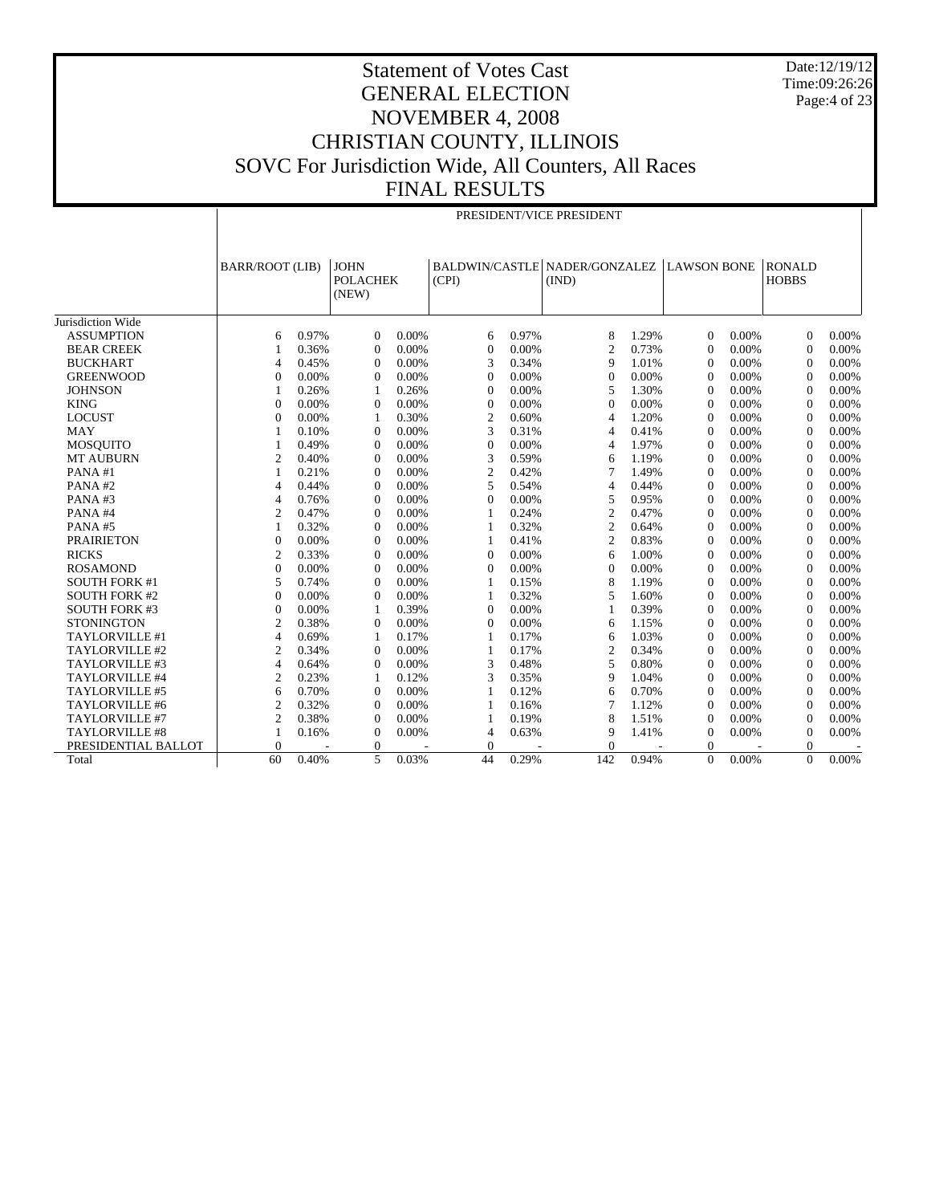Date:12/19/12 Time:09:26:26 Page:4 of 23

|                      |                        | PRESIDENT/VICE PRESIDENT |                                         |       |                |       |                                        |       |                    |          |                               |          |
|----------------------|------------------------|--------------------------|-----------------------------------------|-------|----------------|-------|----------------------------------------|-------|--------------------|----------|-------------------------------|----------|
|                      | <b>BARR/ROOT (LIB)</b> |                          | <b>JOHN</b><br><b>POLACHEK</b><br>(NEW) |       | (CPI)          |       | BALDWIN/CASTLE NADER/GONZALEZ<br>(IND) |       | <b>LAWSON BONE</b> |          | <b>RONALD</b><br><b>HOBBS</b> |          |
| Jurisdiction Wide    |                        |                          |                                         |       |                |       |                                        |       |                    |          |                               |          |
| <b>ASSUMPTION</b>    | 6                      | 0.97%                    | $\Omega$                                | 0.00% | 6              | 0.97% | 8                                      | 1.29% | $\Omega$           | 0.00%    | $\Omega$                      | 0.00%    |
| <b>BEAR CREEK</b>    | $\mathbf{1}$           | 0.36%                    | $\Omega$                                | 0.00% | $\Omega$       | 0.00% | $\overline{c}$                         | 0.73% | $\Omega$           | 0.00%    | $\Omega$                      | $0.00\%$ |
| <b>BUCKHART</b>      | $\overline{4}$         | 0.45%                    | $\overline{0}$                          | 0.00% | 3              | 0.34% | 9                                      | 1.01% | $\theta$           | 0.00%    | $\mathbf{0}$                  | 0.00%    |
| <b>GREENWOOD</b>     | $\theta$               | 0.00%                    | $\Omega$                                | 0.00% | $\Omega$       | 0.00% | $\theta$                               | 0.00% | $\Omega$           | 0.00%    | $\Omega$                      | 0.00%    |
| <b>JOHNSON</b>       | $\mathbf{1}$           | 0.26%                    | 1                                       | 0.26% | $\Omega$       | 0.00% | 5                                      | 1.30% | $\Omega$           | 0.00%    | $\Omega$                      | 0.00%    |
| <b>KING</b>          | $\overline{0}$         | 0.00%                    | $\overline{0}$                          | 0.00% | $\mathbf{0}$   | 0.00% | $\mathbf{0}$                           | 0.00% | $\mathbf{0}$       | 0.00%    | $\mathbf{0}$                  | 0.00%    |
| <b>LOCUST</b>        | $\overline{0}$         | 0.00%                    | 1                                       | 0.30% | $\overline{2}$ | 0.60% | 4                                      | 1.20% | $\theta$           | 0.00%    | $\Omega$                      | 0.00%    |
| <b>MAY</b>           | $\mathbf{1}$           | 0.10%                    | $\Omega$                                | 0.00% | 3              | 0.31% | 4                                      | 0.41% | $\Omega$           | 0.00%    | $\Omega$                      | 0.00%    |
| <b>MOSQUITO</b>      |                        | 0.49%                    | $\Omega$                                | 0.00% | $\Omega$       | 0.00% | 4                                      | 1.97% | $\overline{0}$     | 0.00%    | $\Omega$                      | 0.00%    |
| <b>MT AUBURN</b>     | $\overline{2}$         | 0.40%                    | $\Omega$                                | 0.00% | 3              | 0.59% | 6                                      | 1.19% | $\Omega$           | 0.00%    | $\Omega$                      | 0.00%    |
| PANA#1               | $\mathbf{1}$           | 0.21%                    | $\Omega$                                | 0.00% | $\overline{2}$ | 0.42% | 7                                      | 1.49% | $\Omega$           | 0.00%    | $\Omega$                      | 0.00%    |
| PANA#2               | $\overline{4}$         | 0.44%                    | $\overline{0}$                          | 0.00% | 5              | 0.54% | 4                                      | 0.44% | $\mathbf{0}$       | 0.00%    | $\Omega$                      | 0.00%    |
| PANA#3               | $\overline{4}$         | 0.76%                    | $\overline{0}$                          | 0.00% | $\theta$       | 0.00% | 5                                      | 0.95% | $\theta$           | 0.00%    | $\mathbf{0}$                  | 0.00%    |
| PANA#4               | $\overline{2}$         | 0.47%                    | $\Omega$                                | 0.00% | 1              | 0.24% | $\overline{2}$                         | 0.47% | $\Omega$           | 0.00%    | $\Omega$                      | 0.00%    |
| PANA#5               | $\mathbf{1}$           | 0.32%                    | $\Omega$                                | 0.00% | $\mathbf{1}$   | 0.32% | $\overline{c}$                         | 0.64% | $\overline{0}$     | 0.00%    | $\Omega$                      | 0.00%    |
| <b>PRAIRIETON</b>    | $\overline{0}$         | 0.00%                    | $\overline{0}$                          | 0.00% | $\mathbf{1}$   | 0.41% | $\overline{c}$                         | 0.83% | $\theta$           | 0.00%    | $\Omega$                      | 0.00%    |
| <b>RICKS</b>         | $\overline{2}$         | 0.33%                    | $\Omega$                                | 0.00% | $\Omega$       | 0.00% | 6                                      | 1.00% | $\Omega$           | 0.00%    | $\Omega$                      | 0.00%    |
| <b>ROSAMOND</b>      | $\mathbf{0}$           | 0.00%                    | $\overline{0}$                          | 0.00% | $\theta$       | 0.00% | $\mathbf{0}$                           | 0.00% | $\mathbf{0}$       | 0.00%    | $\mathbf{0}$                  | 0.00%    |
| <b>SOUTH FORK #1</b> | 5                      | 0.74%                    | $\overline{0}$                          | 0.00% | $\mathbf{1}$   | 0.15% | 8                                      | 1.19% | $\theta$           | 0.00%    | $\mathbf{0}$                  | 0.00%    |
| <b>SOUTH FORK #2</b> | $\theta$               | 0.00%                    | $\Omega$                                | 0.00% | 1              | 0.32% | 5                                      | 1.60% | $\Omega$           | 0.00%    | $\Omega$                      | 0.00%    |
| <b>SOUTH FORK #3</b> | $\overline{0}$         | 0.00%                    | 1                                       | 0.39% | $\Omega$       | 0.00% |                                        | 0.39% | $\overline{0}$     | 0.00%    | $\Omega$                      | 0.00%    |
| <b>STONINGTON</b>    | $\overline{2}$         | 0.38%                    | $\Omega$                                | 0.00% | $\Omega$       | 0.00% | 6                                      | 1.15% | $\theta$           | 0.00%    | $\Omega$                      | 0.00%    |
| TAYLORVILLE #1       | $\overline{4}$         | 0.69%                    | 1                                       | 0.17% | 1              | 0.17% | 6                                      | 1.03% | $\Omega$           | 0.00%    | $\Omega$                      | 0.00%    |
| TAYLORVILLE #2       | $\overline{c}$         | 0.34%                    | $\theta$                                | 0.00% | 1              | 0.17% | $\mathbf{2}$                           | 0.34% | $\mathbf{0}$       | 0.00%    | $\Omega$                      | 0.00%    |
| TAYLORVILLE #3       | $\overline{4}$         | 0.64%                    | $\overline{0}$                          | 0.00% | 3              | 0.48% | 5                                      | 0.80% | $\theta$           | 0.00%    | $\mathbf{0}$                  | 0.00%    |
| TAYLORVILLE #4       | $\overline{2}$         | 0.23%                    | 1                                       | 0.12% | 3              | 0.35% | 9                                      | 1.04% | $\Omega$           | 0.00%    | $\Omega$                      | 0.00%    |
| TAYLORVILLE #5       | 6                      | 0.70%                    | $\theta$                                | 0.00% | 1              | 0.12% | 6                                      | 0.70% | $\theta$           | 0.00%    | $\Omega$                      | 0.00%    |
| TAYLORVILLE #6       | $\overline{2}$         | 0.32%                    | $\overline{0}$                          | 0.00% | 1              | 0.16% | 7                                      | 1.12% | $\theta$           | 0.00%    | $\Omega$                      | 0.00%    |
| TAYLORVILLE #7       | $\overline{2}$         | 0.38%                    | $\Omega$                                | 0.00% | 1              | 0.19% | 8                                      | 1.51% | $\theta$           | 0.00%    | $\Omega$                      | 0.00%    |
| TAYLORVILLE #8       | $\mathbf{1}$           | 0.16%                    | $\theta$                                | 0.00% | $\overline{4}$ | 0.63% | 9                                      | 1.41% | $\mathbf{0}$       | 0.00%    | $\mathbf{0}$                  | 0.00%    |
| PRESIDENTIAL BALLOT  | $\overline{0}$         |                          | $\mathbf{0}$                            |       | $\mathbf{0}$   |       | $\mathbf{0}$                           |       | $\theta$           |          | 0                             |          |
| Total                | 60                     | 0.40%                    | 5                                       | 0.03% | 44             | 0.29% | 142                                    | 0.94% | $\Omega$           | $0.00\%$ | $\theta$                      | 0.00%    |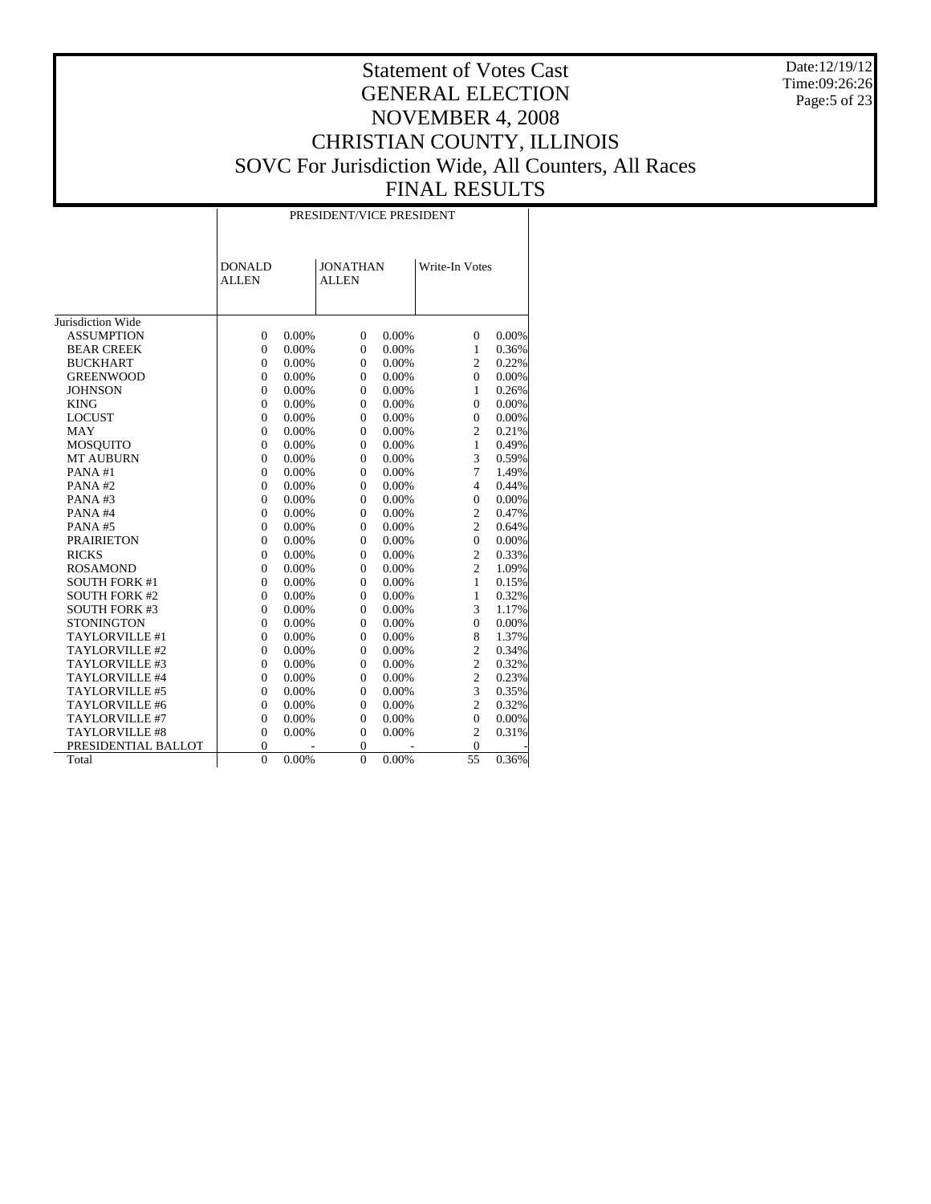Date:12/19/12 Time:09:26:26 Page:5 of 23

|                       |                               | PRESIDENT/VICE PRESIDENT |                                 |          |                |       |  |  |  |  |
|-----------------------|-------------------------------|--------------------------|---------------------------------|----------|----------------|-------|--|--|--|--|
|                       | <b>DONALD</b><br><b>ALLEN</b> |                          | <b>JONATHAN</b><br><b>ALLEN</b> |          | Write-In Votes |       |  |  |  |  |
| Jurisdiction Wide     |                               |                          |                                 |          |                |       |  |  |  |  |
| <b>ASSUMPTION</b>     | $\overline{0}$                | 0.00%                    | $\mathbf{0}$                    | 0.00%    | $\mathbf{0}$   | 0.00% |  |  |  |  |
| <b>BEAR CREEK</b>     | $\overline{0}$                | 0.00%                    | $\mathbf{0}$                    | 0.00%    | $\mathbf{1}$   | 0.36% |  |  |  |  |
| <b>BUCKHART</b>       | $\overline{0}$                | 0.00%                    | $\mathbf{0}$                    | 0.00%    | $\overline{c}$ | 0.22% |  |  |  |  |
| <b>GREENWOOD</b>      | $\overline{0}$                | 0.00%                    | $\mathbf{0}$                    | 0.00%    | $\mathbf{0}$   | 0.00% |  |  |  |  |
| <b>JOHNSON</b>        | $\overline{0}$                | 0.00%                    | $\mathbf{0}$                    | 0.00%    | $\mathbf{1}$   | 0.26% |  |  |  |  |
| <b>KING</b>           | $\overline{0}$                | 0.00%                    | $\mathbf{0}$                    | 0.00%    | $\Omega$       | 0.00% |  |  |  |  |
| <b>LOCUST</b>         | $\boldsymbol{0}$              | 0.00%                    | $\mathbf{0}$                    | 0.00%    | $\mathbf{0}$   | 0.00% |  |  |  |  |
| MAY                   | $\overline{0}$                | 0.00%                    | $\overline{0}$                  | 0.00%    | $\overline{c}$ | 0.21% |  |  |  |  |
| <b>MOSQUITO</b>       | $\overline{0}$                | 0.00%                    | $\mathbf{0}$                    | 0.00%    | $\mathbf{1}$   | 0.49% |  |  |  |  |
| <b>MT AUBURN</b>      | $\overline{0}$                | 0.00%                    | $\mathbf{0}$                    | 0.00%    | 3              | 0.59% |  |  |  |  |
| PANA#1                | $\overline{0}$                | 0.00%                    | $\mathbf{0}$                    | 0.00%    | $\overline{7}$ | 1.49% |  |  |  |  |
| PANA#2                | $\overline{0}$                | 0.00%                    | $\mathbf{0}$                    | 0.00%    | $\overline{4}$ | 0.44% |  |  |  |  |
| PANA#3                | $\overline{0}$                | 0.00%                    | $\mathbf{0}$                    | 0.00%    | $\overline{0}$ | 0.00% |  |  |  |  |
| PANA#4                | $\overline{0}$                | 0.00%                    | $\mathbf{0}$                    | 0.00%    | $\overline{c}$ | 0.47% |  |  |  |  |
| PANA#5                | $\overline{0}$                | 0.00%                    | $\overline{0}$                  | 0.00%    | $\overline{c}$ | 0.64% |  |  |  |  |
| <b>PRAIRIETON</b>     | $\overline{0}$                | 0.00%                    | $\mathbf{0}$                    | 0.00%    | $\overline{0}$ | 0.00% |  |  |  |  |
| <b>RICKS</b>          | $\overline{0}$                | 0.00%                    | $\mathbf{0}$                    | 0.00%    | $\overline{c}$ | 0.33% |  |  |  |  |
| <b>ROSAMOND</b>       | $\boldsymbol{0}$              | 0.00%                    | $\mathbf{0}$                    | 0.00%    | $\overline{c}$ | 1.09% |  |  |  |  |
| <b>SOUTH FORK #1</b>  | $\boldsymbol{0}$              | 0.00%                    | $\mathbf{0}$                    | 0.00%    | $\mathbf{1}$   | 0.15% |  |  |  |  |
| <b>SOUTH FORK #2</b>  | $\overline{0}$                | 0.00%                    | $\mathbf{0}$                    | 0.00%    | $\mathbf{1}$   | 0.32% |  |  |  |  |
| <b>SOUTH FORK #3</b>  | $\overline{0}$                | 0.00%                    | $\mathbf{0}$                    | 0.00%    | 3              | 1.17% |  |  |  |  |
| <b>STONINGTON</b>     | $\overline{0}$                | 0.00%                    | $\mathbf{0}$                    | 0.00%    | $\mathbf{0}$   | 0.00% |  |  |  |  |
| TAYLORVILLE #1        | $\overline{0}$                | 0.00%                    | $\mathbf{0}$                    | 0.00%    | 8              | 1.37% |  |  |  |  |
| TAYLORVILLE #2        | $\overline{0}$                | 0.00%                    | $\mathbf{0}$                    | 0.00%    | $\overline{c}$ | 0.34% |  |  |  |  |
| TAYLORVILLE #3        | $\boldsymbol{0}$              | 0.00%                    | $\mathbf{0}$                    | 0.00%    | $\overline{c}$ | 0.32% |  |  |  |  |
| TAYLORVILLE #4        | $\overline{0}$                | 0.00%                    | $\mathbf{0}$                    | 0.00%    | $\overline{c}$ | 0.23% |  |  |  |  |
| TAYLORVILLE #5        | $\overline{0}$                | 0.00%                    | $\mathbf{0}$                    | 0.00%    | 3              | 0.35% |  |  |  |  |
| TAYLORVILLE #6        | $\overline{0}$                | 0.00%                    | $\mathbf{0}$                    | 0.00%    | $\overline{c}$ | 0.32% |  |  |  |  |
| TAYLORVILLE #7        | $\overline{0}$                | 0.00%                    | $\mathbf{0}$                    | 0.00%    | $\Omega$       | 0.00% |  |  |  |  |
| <b>TAYLORVILLE #8</b> | $\boldsymbol{0}$              | 0.00%                    | $\boldsymbol{0}$                | 0.00%    | $\overline{c}$ | 0.31% |  |  |  |  |
| PRESIDENTIAL BALLOT   | $\overline{0}$                |                          | $\overline{0}$                  |          | $\overline{0}$ |       |  |  |  |  |
| Total                 | $\theta$                      | 0.00%                    | $\theta$                        | $0.00\%$ | 55             | 0.36% |  |  |  |  |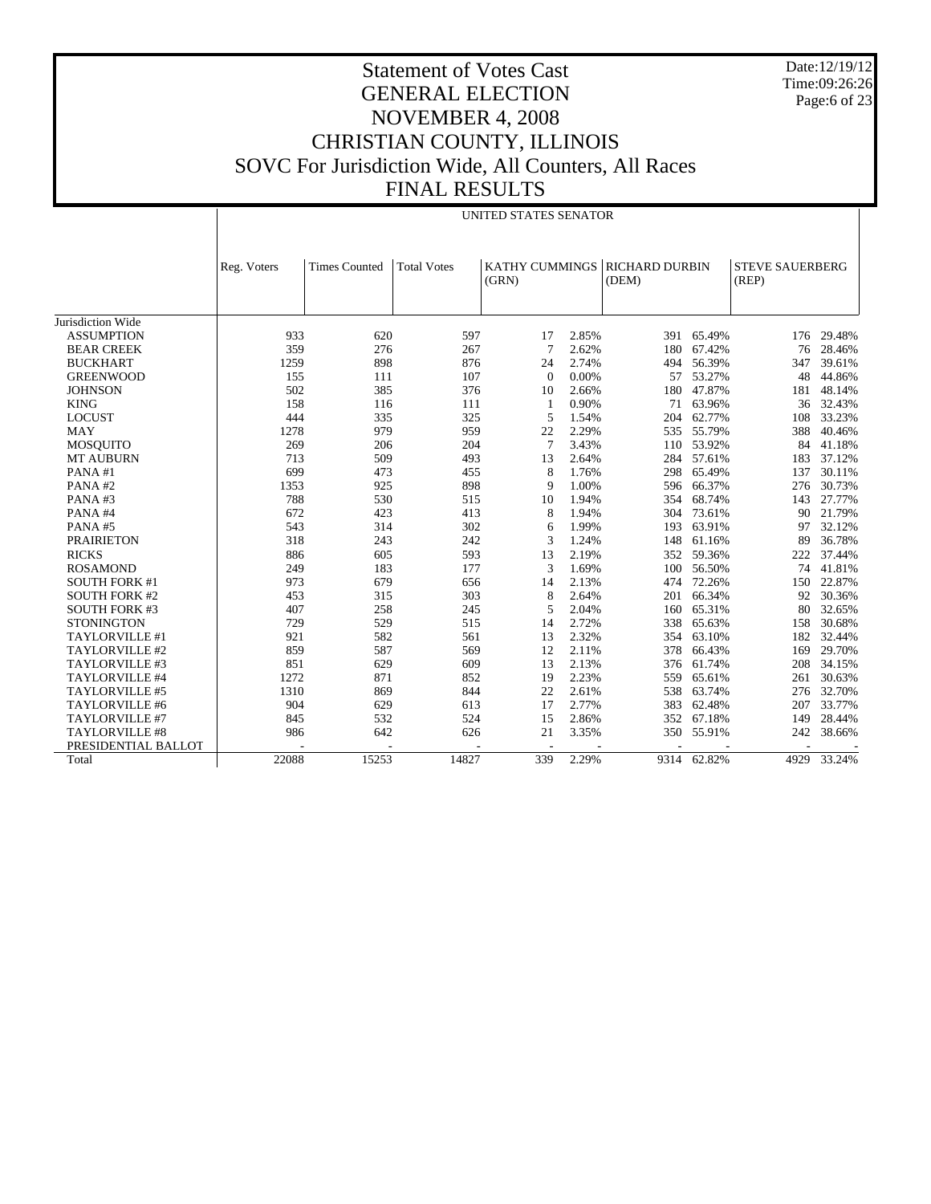Date:12/19/12 Time:09:26:26 Page:6 of 23

|                      |             | UNITED STATES SENATOR |                    |          |       |                                          |             |                                 |        |
|----------------------|-------------|-----------------------|--------------------|----------|-------|------------------------------------------|-------------|---------------------------------|--------|
|                      | Reg. Voters | <b>Times Counted</b>  | <b>Total Votes</b> | (GRN)    |       | KATHY CUMMINGS   RICHARD DURBIN<br>(DEM) |             | <b>STEVE SAUERBERG</b><br>(REP) |        |
| Jurisdiction Wide    |             |                       |                    |          |       |                                          |             |                                 |        |
|                      |             |                       |                    |          |       |                                          |             |                                 |        |
| <b>ASSUMPTION</b>    | 933         | 620                   | 597                | 17       | 2.85% |                                          | 391 65.49%  | 176                             | 29.48% |
| <b>BEAR CREEK</b>    | 359         | 276                   | 267                | 7        | 2.62% | 180                                      | 67.42%      | 76                              | 28.46% |
| <b>BUCKHART</b>      | 1259        | 898                   | 876                | 24       | 2.74% | 494                                      | 56.39%      | 347                             | 39.61% |
| <b>GREENWOOD</b>     | 155         | 111                   | 107                | $\Omega$ | 0.00% | 57                                       | 53.27%      | 48                              | 44.86% |
| <b>JOHNSON</b>       | 502         | 385                   | 376                | 10       | 2.66% | 180                                      | 47.87%      | 181                             | 48.14% |
| <b>KING</b>          | 158         | 116                   | 111                | -1       | 0.90% |                                          | 71 63.96%   | 36                              | 32.43% |
| <b>LOCUST</b>        | 444         | 335                   | 325                | 5        | 1.54% | 204                                      | 62.77%      | 108                             | 33.23% |
| MAY                  | 1278        | 979                   | 959                | 22       | 2.29% | 535                                      | 55.79%      | 388                             | 40.46% |
| <b>MOSQUITO</b>      | 269         | 206                   | 204                | 7        | 3.43% | 110                                      | 53.92%      | 84                              | 41.18% |
| <b>MT AUBURN</b>     | 713         | 509                   | 493                | 13       | 2.64% |                                          | 284 57.61%  | 183                             | 37.12% |
| PANA#1               | 699         | 473                   | 455                | 8        | 1.76% | 298                                      | 65.49%      | 137                             | 30.11% |
| PANA#2               | 1353        | 925                   | 898                | 9        | 1.00% | 596                                      | 66.37%      | 276                             | 30.73% |
| PANA#3               | 788         | 530                   | 515                | 10       | 1.94% | 354                                      | 68.74%      | 143                             | 27.77% |
| PANA#4               | 672         | 423                   | 413                | 8        | 1.94% | 304                                      | 73.61%      | 90                              | 21.79% |
| PANA#5               | 543         | 314                   | 302                | 6        | 1.99% | 193                                      | 63.91%      | 97                              | 32.12% |
| <b>PRAIRIETON</b>    | 318         | 243                   | 242                | 3        | 1.24% | 148                                      | 61.16%      | 89                              | 36.78% |
| <b>RICKS</b>         | 886         | 605                   | 593                | 13       | 2.19% |                                          | 352 59.36%  | 222                             | 37.44% |
| <b>ROSAMOND</b>      | 249         | 183                   | 177                | 3        | 1.69% | 100                                      | 56.50%      | 74                              | 41.81% |
| <b>SOUTH FORK #1</b> | 973         | 679                   | 656                | 14       | 2.13% | 474                                      | 72.26%      | 150                             | 22.87% |
| <b>SOUTH FORK #2</b> | 453         | 315                   | 303                | 8        | 2.64% | 201                                      | 66.34%      | 92                              | 30.36% |
| <b>SOUTH FORK #3</b> | 407         | 258                   | 245                | 5        | 2.04% | 160                                      | 65.31%      | 80                              | 32.65% |
| <b>STONINGTON</b>    | 729         | 529                   | 515                | 14       | 2.72% | 338                                      | 65.63%      | 158                             | 30.68% |
| TAYLORVILLE #1       | 921         | 582                   | 561                | 13       | 2.32% |                                          | 354 63.10%  | 182                             | 32.44% |
| TAYLORVILLE #2       | 859         | 587                   | 569                | 12       | 2.11% | 378                                      | 66.43%      | 169                             | 29.70% |
| TAYLORVILLE #3       | 851         | 629                   | 609                | 13       | 2.13% | 376                                      | 61.74%      | 208                             | 34.15% |
| TAYLORVILLE #4       | 1272        | 871                   | 852                | 19       | 2.23% | 559                                      | 65.61%      | 261                             | 30.63% |
| TAYLORVILLE #5       | 1310        | 869                   | 844                | 22       | 2.61% | 538                                      | 63.74%      | 276                             | 32.70% |
| TAYLORVILLE #6       | 904         | 629                   | 613                | 17       | 2.77% | 383                                      | 62.48%      | 207                             | 33.77% |
| TAYLORVILLE #7       | 845         | 532                   | 524                | 15       | 2.86% | 352                                      | 67.18%      | 149                             | 28.44% |
| TAYLORVILLE #8       | 986         | 642                   | 626                | 21       | 3.35% | 350                                      | 55.91%      | 242                             | 38.66% |
| PRESIDENTIAL BALLOT  |             |                       |                    |          |       |                                          |             |                                 |        |
| Total                | 22088       | 15253                 | 14827              | 339      | 2.29% |                                          | 9314 62.82% | 4929                            | 33.24% |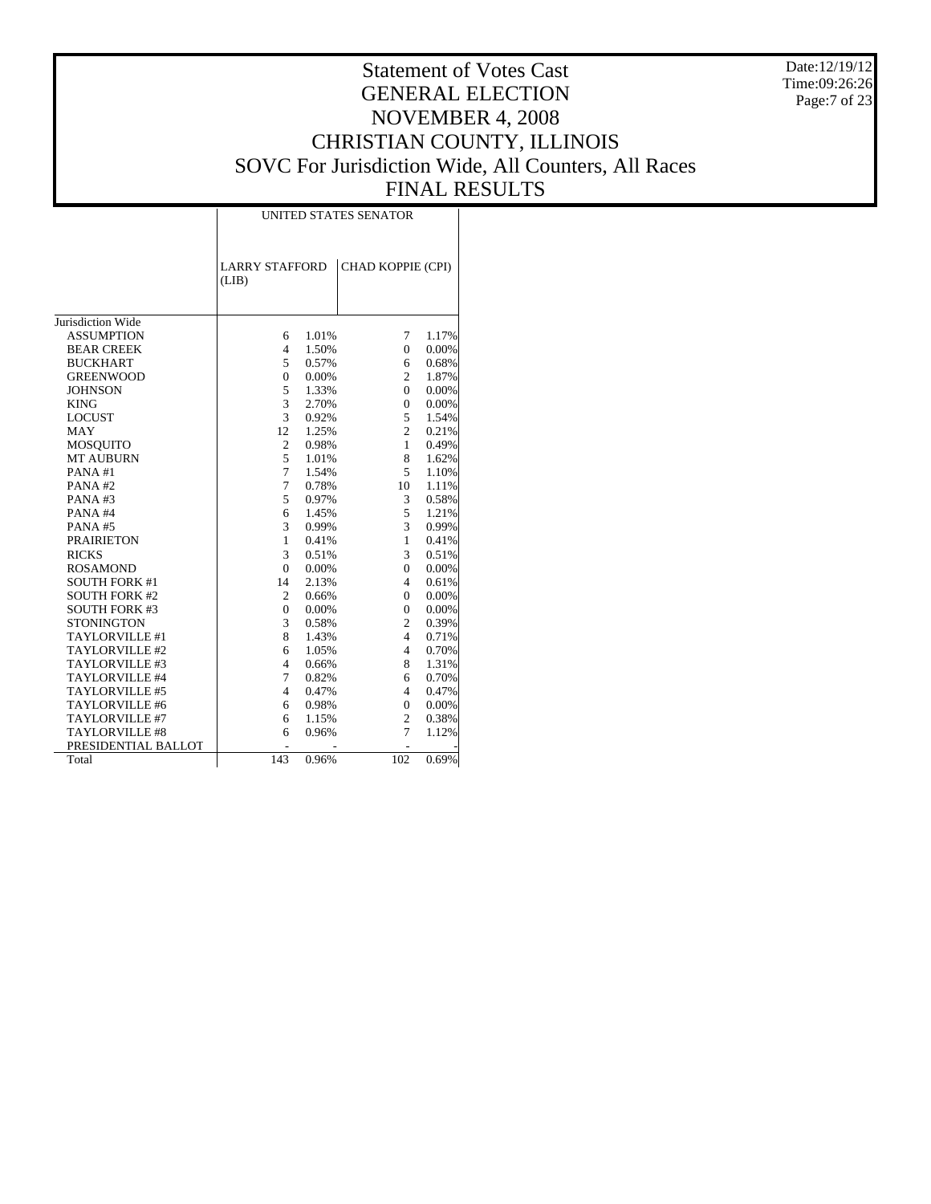Date:12/19/12 Time:09:26:26 Page:7 of 23

# Statement of Votes Cast GENERAL ELECTION NOVEMBER 4, 2008 CHRISTIAN COUNTY, ILLINOIS SOVC For Jurisdiction Wide, All Counters, All Races FINAL RESULTS

Τ

|                       | <b>UNITED STATES SENATOR</b>   |       |                   |       |  |  |  |  |  |
|-----------------------|--------------------------------|-------|-------------------|-------|--|--|--|--|--|
|                       | <b>LARRY STAFFORD</b><br>(LIB) |       | CHAD KOPPIE (CPI) |       |  |  |  |  |  |
| Jurisdiction Wide     |                                |       |                   |       |  |  |  |  |  |
| <b>ASSUMPTION</b>     | 6                              | 1.01% | 7                 | 1.17% |  |  |  |  |  |
| <b>BEAR CREEK</b>     | $\overline{4}$                 | 1.50% | $\mathbf{0}$      | 0.00% |  |  |  |  |  |
| <b>BUCKHART</b>       | 5                              | 0.57% | 6                 | 0.68% |  |  |  |  |  |
| <b>GREENWOOD</b>      | $\overline{0}$                 | 0.00% | $\overline{c}$    | 1.87% |  |  |  |  |  |
| <b>JOHNSON</b>        | 5                              | 1.33% | $\mathbf{0}$      | 0.00% |  |  |  |  |  |
| <b>KING</b>           | 3                              | 2.70% | $\mathbf{0}$      | 0.00% |  |  |  |  |  |
| <b>LOCUST</b>         | 3                              | 0.92% | 5                 | 1.54% |  |  |  |  |  |
| <b>MAY</b>            | 12                             | 1.25% | $\overline{c}$    | 0.21% |  |  |  |  |  |
| <b>MOSQUITO</b>       | $\mathfrak{2}$                 | 0.98% | $\mathbf{1}$      | 0.49% |  |  |  |  |  |
| <b>MT AUBURN</b>      | 5                              | 1.01% | 8                 | 1.62% |  |  |  |  |  |
| PANA#1                | $\overline{7}$                 | 1.54% | 5                 | 1.10% |  |  |  |  |  |
| PANA#2                | 7                              | 0.78% | 10                | 1.11% |  |  |  |  |  |
| PANA#3                | 5                              | 0.97% | 3                 | 0.58% |  |  |  |  |  |
| PANA#4                | 6                              | 1.45% | 5                 | 1.21% |  |  |  |  |  |
| PANA#5                | 3                              | 0.99% | 3                 | 0.99% |  |  |  |  |  |
| <b>PRAIRIETON</b>     | 1                              | 0.41% | $\mathbf{1}$      | 0.41% |  |  |  |  |  |
| <b>RICKS</b>          | 3                              | 0.51% | 3                 | 0.51% |  |  |  |  |  |
| <b>ROSAMOND</b>       | $\mathbf{0}$                   | 0.00% | $\overline{0}$    | 0.00% |  |  |  |  |  |
| <b>SOUTH FORK #1</b>  | 14                             | 2.13% | 4                 | 0.61% |  |  |  |  |  |
| <b>SOUTH FORK #2</b>  | $\mathfrak{2}$                 | 0.66% | $\Omega$          | 0.00% |  |  |  |  |  |
| <b>SOUTH FORK #3</b>  | $\mathbf{0}$                   | 0.00% | $\mathbf{0}$      | 0.00% |  |  |  |  |  |
| <b>STONINGTON</b>     | 3                              | 0.58% | $\overline{c}$    | 0.39% |  |  |  |  |  |
| TAYLORVILLE #1        | 8                              | 1.43% | $\overline{4}$    | 0.71% |  |  |  |  |  |
| TAYLORVILLE #2        | 6                              | 1.05% | $\overline{4}$    | 0.70% |  |  |  |  |  |
| TAYLORVILLE #3        | $\overline{4}$                 | 0.66% | 8                 | 1.31% |  |  |  |  |  |
| TAYLORVILLE #4        | 7                              | 0.82% | 6                 | 0.70% |  |  |  |  |  |
| <b>TAYLORVILLE #5</b> | $\overline{4}$                 | 0.47% | 4                 | 0.47% |  |  |  |  |  |
| TAYLORVILLE #6        | 6                              | 0.98% | $\mathbf{0}$      | 0.00% |  |  |  |  |  |
| TAYLORVILLE #7        | 6                              | 1.15% | $\overline{c}$    | 0.38% |  |  |  |  |  |
| TAYLORVILLE #8        | 6                              | 0.96% | 7                 | 1.12% |  |  |  |  |  |
| PRESIDENTIAL BALLOT   |                                |       |                   |       |  |  |  |  |  |
| Total                 | 143                            | 0.96% | 102               | 0.69% |  |  |  |  |  |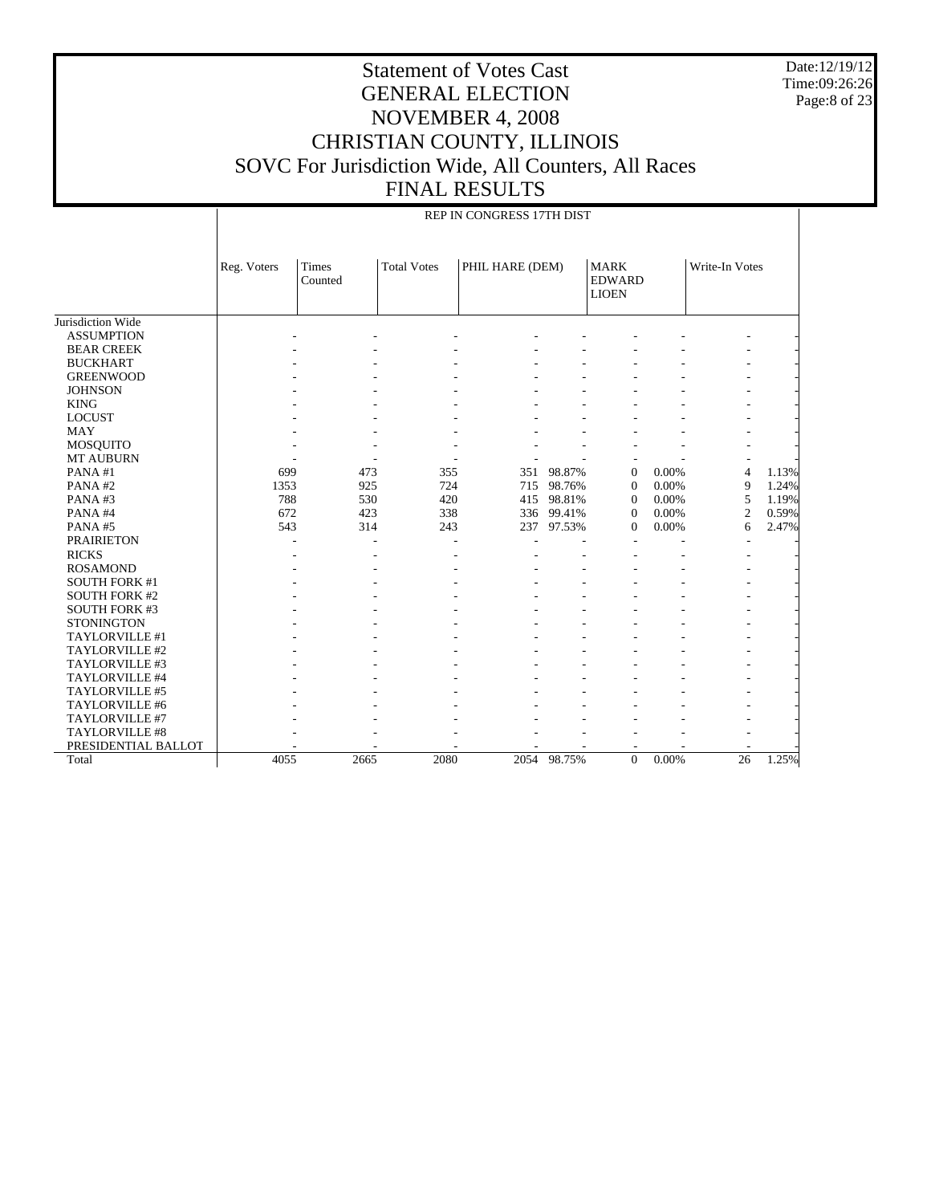Date:12/19/12 Time:09:26:26 Page:8 of 23

 $\mathbb{I}$ 

# Statement of Votes Cast GENERAL ELECTION NOVEMBER 4, 2008 CHRISTIAN COUNTY, ILLINOIS SOVC For Jurisdiction Wide, All Counters, All Races FINAL RESULTS

 $\overline{\phantom{a}}$ 

REP IN CONGRESS 17TH DIST

|                      | Reg. Voters | Times<br>Counted | <b>Total Votes</b> | PHIL HARE (DEM) |        | <b>MARK</b><br><b>EDWARD</b><br><b>LIOEN</b> |       | Write-In Votes  |       |
|----------------------|-------------|------------------|--------------------|-----------------|--------|----------------------------------------------|-------|-----------------|-------|
| Jurisdiction Wide    |             |                  |                    |                 |        |                                              |       |                 |       |
| <b>ASSUMPTION</b>    |             |                  |                    |                 |        |                                              |       |                 |       |
| <b>BEAR CREEK</b>    |             |                  |                    |                 |        |                                              |       |                 |       |
| <b>BUCKHART</b>      |             |                  |                    |                 |        |                                              |       |                 |       |
| <b>GREENWOOD</b>     |             |                  |                    |                 |        |                                              |       |                 |       |
| <b>JOHNSON</b>       |             |                  |                    |                 |        |                                              |       |                 |       |
| <b>KING</b>          |             |                  |                    |                 |        |                                              |       |                 |       |
| <b>LOCUST</b>        |             |                  |                    |                 |        |                                              |       |                 |       |
| <b>MAY</b>           |             |                  |                    |                 |        |                                              |       |                 |       |
| <b>MOSQUITO</b>      |             |                  |                    |                 |        |                                              |       |                 |       |
| <b>MT AUBURN</b>     |             |                  |                    |                 |        |                                              |       |                 |       |
| PANA#1               | 699         | 473              | 355                | 351             | 98.87% | $\mathbf{0}$                                 | 0.00% | $\overline{4}$  | 1.13% |
| PANA#2               | 1353        | 925              | 724                | 715             | 98.76% | $\mathbf{0}$                                 | 0.00% | 9               | 1.24% |
| PANA#3               | 788         | 530              | 420                | 415             | 98.81% | $\Omega$                                     | 0.00% | 5               | 1.19% |
| PANA#4               | 672         | 423              | 338                | 336             | 99.41% | $\mathbf{0}$                                 | 0.00% | $\overline{c}$  | 0.59% |
| PANA#5               | 543         | 314              | 243                | 237             | 97.53% | $\mathbf{0}$                                 | 0.00% | 6               | 2.47% |
| <b>PRAIRIETON</b>    |             |                  |                    |                 |        |                                              |       |                 |       |
| <b>RICKS</b>         |             |                  |                    |                 |        |                                              |       |                 |       |
| <b>ROSAMOND</b>      |             |                  |                    |                 |        |                                              |       |                 |       |
| <b>SOUTH FORK #1</b> |             |                  |                    |                 |        |                                              |       |                 |       |
| <b>SOUTH FORK #2</b> |             |                  |                    |                 |        |                                              |       |                 |       |
| <b>SOUTH FORK #3</b> |             |                  |                    |                 |        |                                              |       |                 |       |
| <b>STONINGTON</b>    |             |                  |                    |                 |        |                                              |       |                 |       |
| TAYLORVILLE #1       |             |                  |                    |                 |        |                                              |       |                 |       |
| TAYLORVILLE #2       |             |                  |                    |                 |        |                                              |       |                 |       |
| TAYLORVILLE #3       |             |                  |                    |                 |        |                                              |       |                 |       |
| TAYLORVILLE #4       |             |                  |                    |                 |        |                                              |       |                 |       |
| TAYLORVILLE #5       |             |                  |                    |                 |        |                                              |       |                 |       |
| TAYLORVILLE #6       |             |                  |                    |                 |        |                                              |       |                 |       |
| TAYLORVILLE #7       |             |                  |                    |                 |        |                                              |       |                 |       |
| TAYLORVILLE #8       |             |                  |                    |                 |        |                                              |       |                 |       |
| PRESIDENTIAL BALLOT  |             |                  |                    |                 |        |                                              |       |                 |       |
| Total                | 4055        | 2665             | 2080               | 2054            | 98.75% | $\Omega$                                     | 0.00% | $\overline{26}$ | 1.25% |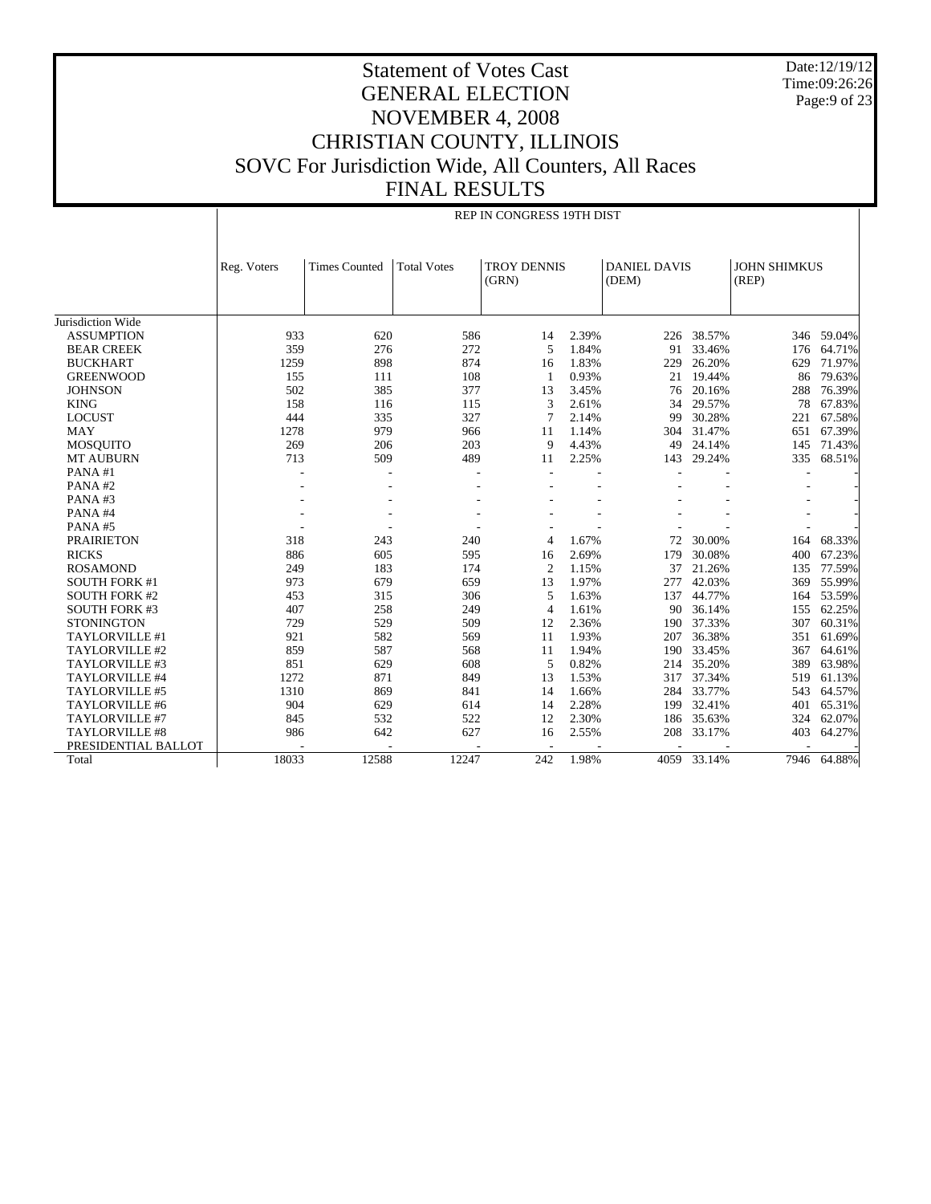Date:12/19/12 Time:09:26:26 Page:9 of 23

# Statement of Votes Cast GENERAL ELECTION NOVEMBER 4, 2008 CHRISTIAN COUNTY, ILLINOIS SOVC For Jurisdiction Wide, All Counters, All Races FINAL RESULTS

|                       |             |                      |                    | REP IN CONGRESS 19TH DIST   |       |                              |            |                              |            |
|-----------------------|-------------|----------------------|--------------------|-----------------------------|-------|------------------------------|------------|------------------------------|------------|
|                       | Reg. Voters | <b>Times Counted</b> | <b>Total Votes</b> | <b>TROY DENNIS</b><br>(GRN) |       | <b>DANIEL DAVIS</b><br>(DEM) |            | <b>JOHN SHIMKUS</b><br>(REP) |            |
| Jurisdiction Wide     |             |                      |                    |                             |       |                              |            |                              |            |
| <b>ASSUMPTION</b>     | 933         | 620                  | 586                | 14                          | 2.39% |                              | 226 38.57% |                              | 346 59.04% |
| <b>BEAR CREEK</b>     | 359         | 276                  | 272                | 5                           | 1.84% | 91                           | 33.46%     | 176                          | 64.71%     |
| <b>BUCKHART</b>       | 1259        | 898                  | 874                | 16                          | 1.83% | 229                          | 26.20%     | 629                          | 71.97%     |
| <b>GREENWOOD</b>      | 155         | 111                  | 108                | $\mathbf{1}$                | 0.93% | 21                           | 19.44%     | 86                           | 79.63%     |
| <b>JOHNSON</b>        | 502         | 385                  | 377                | 13                          | 3.45% | 76                           | 20.16%     | 288                          | 76.39%     |
| <b>KING</b>           | 158         | 116                  | 115                | 3                           | 2.61% | 34                           | 29.57%     | 78                           | 67.83%     |
| <b>LOCUST</b>         | 444         | 335                  | 327                | $\overline{7}$              | 2.14% | 99                           | 30.28%     | 221                          | 67.58%     |
| <b>MAY</b>            | 1278        | 979                  | 966                | 11                          | 1.14% | 304                          | 31.47%     | 651                          | 67.39%     |
| <b>MOSQUITO</b>       | 269         | 206                  | 203                | 9                           | 4.43% | 49                           | 24.14%     | 145                          | 71.43%     |
| <b>MT AUBURN</b>      | 713         | 509                  | 489                | 11                          | 2.25% | 143                          | 29.24%     | 335                          | 68.51%     |
| PANA#1                |             |                      |                    |                             |       |                              |            |                              |            |
| PANA#2                |             |                      |                    |                             |       |                              |            |                              |            |
| PANA#3                |             |                      |                    |                             |       |                              |            |                              |            |
| PANA#4                |             |                      |                    |                             |       |                              |            |                              |            |
| PANA#5                |             |                      |                    |                             |       |                              |            |                              |            |
| <b>PRAIRIETON</b>     | 318         | 243                  | 240                | 4                           | 1.67% | 72                           | 30.00%     | 164                          | 68.33%     |
| <b>RICKS</b>          | 886         | 605                  | 595                | 16                          | 2.69% | 179                          | 30.08%     | 400                          | 67.23%     |
| <b>ROSAMOND</b>       | 249         | 183                  | 174                | 2                           | 1.15% | 37                           | 21.26%     | 135                          | 77.59%     |
| <b>SOUTH FORK #1</b>  | 973         | 679                  | 659                | 13                          | 1.97% | 277                          | 42.03%     | 369                          | 55.99%     |
| <b>SOUTH FORK #2</b>  | 453         | 315                  | 306                | 5                           | 1.63% | 137                          | 44.77%     | 164                          | 53.59%     |
| <b>SOUTH FORK #3</b>  | 407         | 258                  | 249                | $\overline{4}$              | 1.61% | 90                           | 36.14%     | 155                          | 62.25%     |
| <b>STONINGTON</b>     | 729         | 529                  | 509                | 12                          | 2.36% | 190                          | 37.33%     | 307                          | 60.31%     |
| TAYLORVILLE #1        | 921         | 582                  | 569                | 11                          | 1.93% | 207                          | 36.38%     | 351                          | 61.69%     |
| TAYLORVILLE #2        | 859         | 587                  | 568                | 11                          | 1.94% | 190                          | 33.45%     | 367                          | 64.61%     |
| TAYLORVILLE #3        | 851         | 629                  | 608                | 5                           | 0.82% | 214                          | 35.20%     | 389                          | 63.98%     |
| TAYLORVILLE #4        | 1272        | 871                  | 849                | 13                          | 1.53% | 317                          | 37.34%     | 519                          | 61.13%     |
| TAYLORVILLE #5        | 1310        | 869                  | 841                | 14                          | 1.66% | 284                          | 33.77%     | 543                          | 64.57%     |
| TAYLORVILLE #6        | 904         | 629                  | 614                | 14                          | 2.28% | 199                          | 32.41%     | 401                          | 65.31%     |
| TAYLORVILLE #7        | 845         | 532                  | 522                | 12                          | 2.30% | 186                          | 35.63%     | 324                          | 62.07%     |
| <b>TAYLORVILLE #8</b> | 986         | 642                  | 627                | 16                          | 2.55% | 208                          | 33.17%     | 403                          | 64.27%     |
| PRESIDENTIAL BALLOT   |             |                      |                    |                             |       |                              |            |                              |            |

18033 12588 12247 242 1.98% 4059 33.14% 7946 64.88%

Total

 $\mathbf{I}$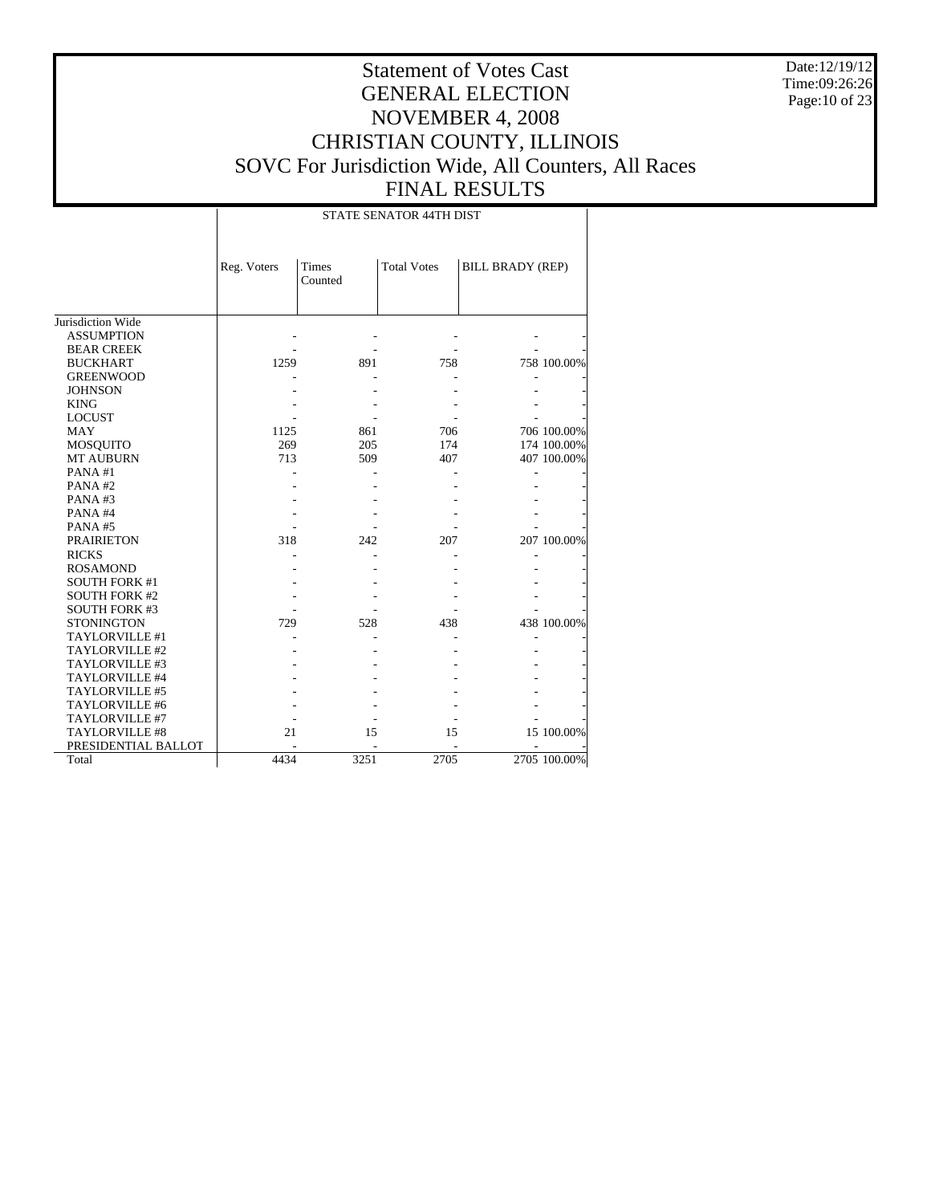Date:12/19/12 Time:09:26:26 Page:10 of 23

# Statement of Votes Cast GENERAL ELECTION NOVEMBER 4, 2008 CHRISTIAN COUNTY, ILLINOIS SOVC For Jurisdiction Wide, All Counters, All Races FINAL RESULTS

#### STATE SENATOR 44TH DIST

|                       | Reg. Voters | Times   | <b>Total Votes</b> | <b>BILL BRADY (REP)</b> |              |
|-----------------------|-------------|---------|--------------------|-------------------------|--------------|
|                       |             | Counted |                    |                         |              |
|                       |             |         |                    |                         |              |
|                       |             |         |                    |                         |              |
| Jurisdiction Wide     |             |         |                    |                         |              |
| <b>ASSUMPTION</b>     |             |         |                    |                         |              |
| <b>BEAR CREEK</b>     |             |         |                    |                         |              |
| <b>BUCKHART</b>       | 1259        | 891     | 758                |                         | 758 100.00%  |
| <b>GREENWOOD</b>      |             |         |                    |                         |              |
| <b>JOHNSON</b>        |             |         |                    |                         |              |
| <b>KING</b>           |             |         |                    |                         |              |
| <b>LOCUST</b>         |             |         |                    |                         |              |
| <b>MAY</b>            | 1125        | 861     | 706                |                         | 706 100.00%  |
| MOSQUITO              | 269         | 205     | 174                |                         | 174 100.00%  |
| <b>MT AUBURN</b>      | 713         | 509     | 407                |                         | 407 100.00%  |
| PANA#1                |             |         |                    |                         |              |
| PANA#2                |             |         |                    |                         |              |
| PANA#3                |             |         |                    |                         |              |
| PANA#4                |             |         |                    |                         |              |
| PANA#5                |             |         |                    |                         |              |
| <b>PRAIRIETON</b>     | 318         | 242     | 207                |                         | 207 100.00%  |
| <b>RICKS</b>          |             |         |                    |                         |              |
| <b>ROSAMOND</b>       |             |         |                    |                         |              |
| <b>SOUTH FORK #1</b>  |             |         |                    |                         |              |
| <b>SOUTH FORK #2</b>  |             |         |                    |                         |              |
| <b>SOUTH FORK #3</b>  |             |         |                    |                         |              |
| <b>STONINGTON</b>     | 729         | 528     | 438                |                         | 438 100.00%  |
| TAYLORVILLE #1        |             |         |                    |                         |              |
| TAYLORVILLE #2        |             |         |                    |                         |              |
| TAYLORVILLE #3        |             |         |                    |                         |              |
| TAYLORVILLE #4        |             |         |                    |                         |              |
| <b>TAYLORVILLE #5</b> |             |         |                    |                         |              |
| <b>TAYLORVILLE #6</b> |             |         |                    |                         |              |
| TAYLORVILLE #7        |             |         |                    |                         |              |
| TAYLORVILLE #8        | 21          | 15      | 15                 |                         | 15 100.00%   |
| PRESIDENTIAL BALLOT   |             |         |                    |                         |              |
| Total                 | 4434        | 3251    | 2705               |                         | 2705 100.00% |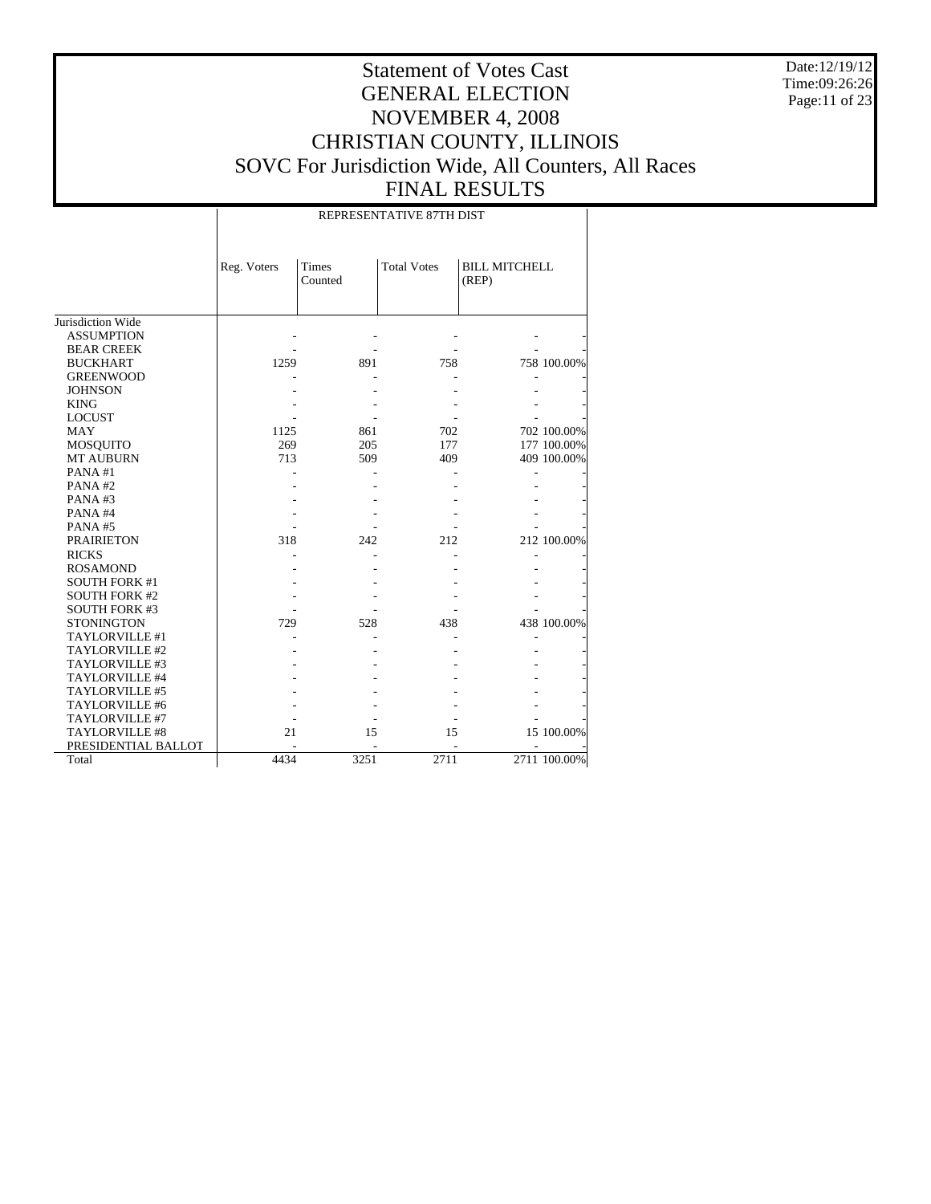Date:12/19/12 Time:09:26:26 Page:11 of 23

# Statement of Votes Cast GENERAL ELECTION NOVEMBER 4, 2008 CHRISTIAN COUNTY, ILLINOIS SOVC For Jurisdiction Wide, All Counters, All Races FINAL RESULTS

#### REPRESENTATIVE 87TH DIST

|                       | Reg. Voters | <b>Times</b><br>Counted | <b>Total Votes</b> | <b>BILL MITCHELL</b><br>(REP) |              |
|-----------------------|-------------|-------------------------|--------------------|-------------------------------|--------------|
|                       |             |                         |                    |                               |              |
| Jurisdiction Wide     |             |                         |                    |                               |              |
| <b>ASSUMPTION</b>     |             |                         |                    |                               |              |
| <b>BEAR CREEK</b>     |             |                         |                    |                               |              |
| <b>BUCKHART</b>       | 1259        | 891                     | 758                |                               | 758 100.00%  |
| <b>GREENWOOD</b>      |             |                         |                    |                               |              |
| <b>JOHNSON</b>        |             |                         |                    |                               |              |
| <b>KING</b>           |             |                         |                    |                               |              |
| <b>LOCUST</b>         |             |                         |                    |                               |              |
| MAY                   | 1125        | 861                     | 702                |                               | 702 100.00%  |
| MOSQUITO              | 269         | 205                     | 177                |                               | 177 100.00%  |
| <b>MT AUBURN</b>      | 713         | 509                     | 409                |                               | 409 100.00%  |
| PANA#1                |             |                         |                    |                               |              |
| PANA#2                |             |                         |                    |                               |              |
| PANA#3                |             |                         |                    |                               |              |
| PANA#4                |             |                         |                    |                               |              |
| PANA#5                |             |                         |                    |                               |              |
| <b>PRAIRIETON</b>     | 318         | 242                     | 212                |                               | 212 100.00%  |
| <b>RICKS</b>          |             |                         |                    |                               |              |
| <b>ROSAMOND</b>       |             |                         |                    |                               |              |
| <b>SOUTH FORK #1</b>  |             |                         |                    |                               |              |
| <b>SOUTH FORK #2</b>  |             |                         |                    |                               |              |
| <b>SOUTH FORK #3</b>  |             |                         |                    |                               |              |
| <b>STONINGTON</b>     | 729         | 528                     | 438                |                               | 438 100.00%  |
| <b>TAYLORVILLE #1</b> |             |                         |                    |                               |              |
| TAYLORVILLE #2        |             |                         |                    |                               |              |
| TAYLORVILLE #3        |             |                         |                    |                               |              |
| <b>TAYLORVILLE #4</b> |             |                         |                    |                               |              |
| TAYLORVILLE #5        |             |                         |                    |                               |              |
| <b>TAYLORVILLE #6</b> |             |                         |                    |                               |              |
| TAYLORVILLE #7        |             |                         |                    |                               |              |
| TAYLORVILLE #8        | 21          | 15                      | 15                 |                               | 15 100.00%   |
| PRESIDENTIAL BALLOT   |             |                         |                    |                               |              |
| Total                 | 4434        | 3251                    | 2711               |                               | 2711 100.00% |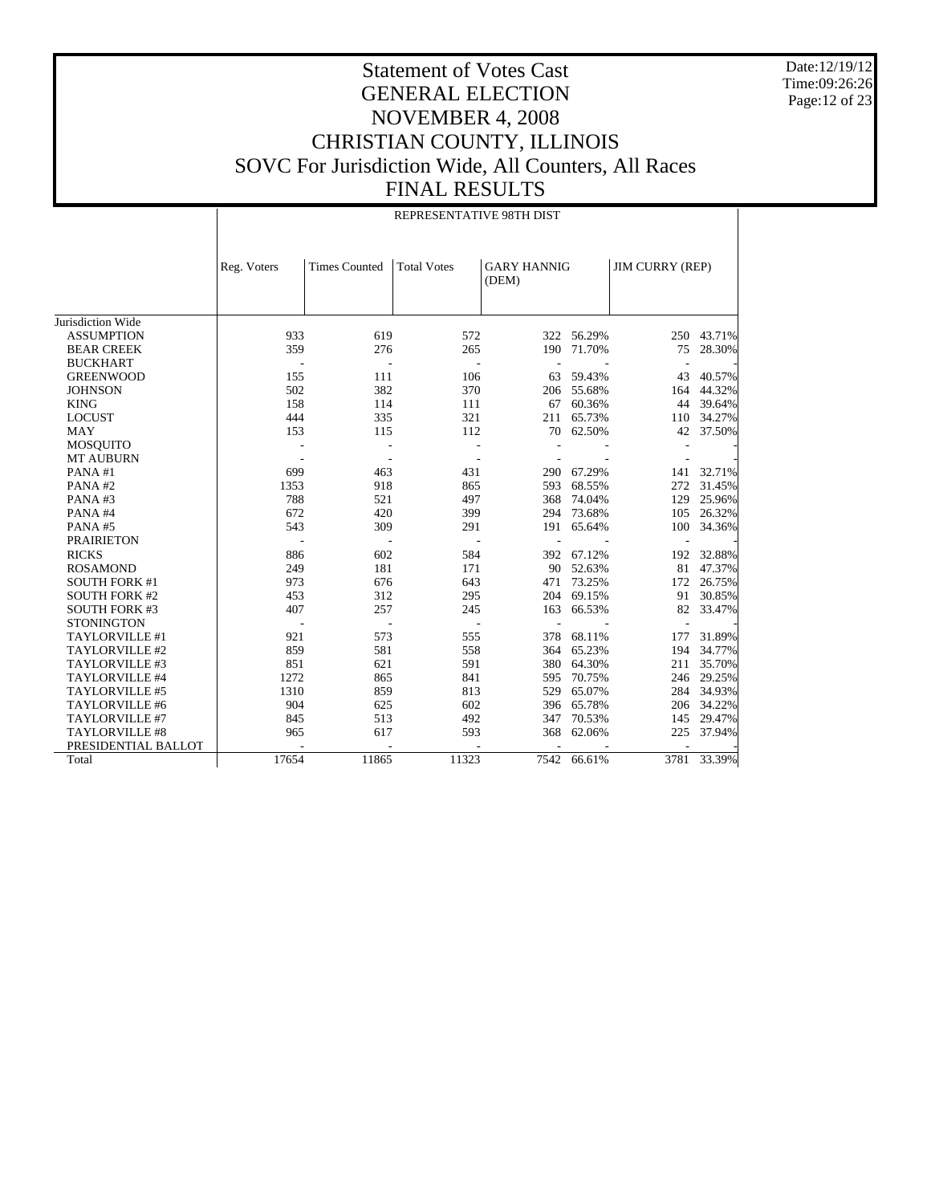Date:12/19/12 Time:09:26:26 Page:12 of 23

# Statement of Votes Cast GENERAL ELECTION NOVEMBER 4, 2008 CHRISTIAN COUNTY, ILLINOIS SOVC For Jurisdiction Wide, All Counters, All Races FINAL RESULTS

|                      |             | REPRESENTATIVE 98TH DIST |                          |                             |             |                        |            |  |  |
|----------------------|-------------|--------------------------|--------------------------|-----------------------------|-------------|------------------------|------------|--|--|
|                      | Reg. Voters | <b>Times Counted</b>     | <b>Total Votes</b>       | <b>GARY HANNIG</b><br>(DEM) |             | <b>JIM CURRY (REP)</b> |            |  |  |
| Jurisdiction Wide    |             |                          |                          |                             |             |                        |            |  |  |
| <b>ASSUMPTION</b>    | 933         | 619                      | 572                      |                             | 322 56.29%  |                        | 250 43.71% |  |  |
| <b>BEAR CREEK</b>    | 359         | 276                      | 265                      | 190                         | 71.70%      | 75                     | 28.30%     |  |  |
| <b>BUCKHART</b>      |             |                          | ÷                        |                             |             |                        |            |  |  |
| <b>GREENWOOD</b>     | 155         | 111                      | 106                      | 63                          | 59.43%      | 43                     | 40.57%     |  |  |
| <b>JOHNSON</b>       | 502         | 382                      | 370                      | 206                         | 55.68%      | 164                    | 44.32%     |  |  |
| <b>KING</b>          | 158         | 114                      | 111                      | 67                          | 60.36%      | 44                     | 39.64%     |  |  |
| <b>LOCUST</b>        | 444         | 335                      | 321                      | 211                         | 65.73%      | 110                    | 34.27%     |  |  |
| <b>MAY</b>           | 153         | 115                      | 112                      | 70                          | 62.50%      | 42                     | 37.50%     |  |  |
| <b>MOSQUITO</b>      |             |                          |                          |                             |             |                        |            |  |  |
| <b>MT AUBURN</b>     |             |                          |                          |                             |             |                        |            |  |  |
| PANA#1               | 699         | 463                      | 431                      | 290                         | 67.29%      | 141                    | 32.71%     |  |  |
| PANA#2               | 1353        | 918                      | 865                      | 593                         | 68.55%      | 272                    | 31.45%     |  |  |
| PANA#3               | 788         | 521                      | 497                      | 368                         | 74.04%      | 129                    | 25.96%     |  |  |
| PANA#4               | 672         | 420                      | 399                      | 294                         | 73.68%      | 105                    | 26.32%     |  |  |
| PANA#5               | 543         | 309                      | 291                      | 191                         | 65.64%      | 100                    | 34.36%     |  |  |
| <b>PRAIRIETON</b>    |             |                          |                          |                             |             |                        |            |  |  |
| <b>RICKS</b>         | 886         | 602                      | 584                      | 392                         | 67.12%      | 192                    | 32.88%     |  |  |
| <b>ROSAMOND</b>      | 249         | 181                      | 171                      |                             | 90 52.63%   | 81                     | 47.37%     |  |  |
| <b>SOUTH FORK #1</b> | 973         | 676                      | 643                      | 471                         | 73.25%      | 172                    | 26.75%     |  |  |
| <b>SOUTH FORK #2</b> | 453         | 312                      | 295                      | 204                         | 69.15%      | 91                     | 30.85%     |  |  |
| <b>SOUTH FORK #3</b> | 407         | 257                      | 245                      | 163                         | 66.53%      | 82                     | 33.47%     |  |  |
| <b>STONINGTON</b>    |             | $\overline{\phantom{a}}$ | $\overline{\phantom{a}}$ |                             |             |                        |            |  |  |
| TAYLORVILLE #1       | 921         | 573                      | 555                      | 378                         | 68.11%      | 177                    | 31.89%     |  |  |
| TAYLORVILLE #2       | 859         | 581                      | 558                      | 364                         | 65.23%      | 194                    | 34.77%     |  |  |
| TAYLORVILLE #3       | 851         | 621                      | 591                      | 380                         | 64.30%      | 211                    | 35.70%     |  |  |
| TAYLORVILLE #4       | 1272        | 865                      | 841                      | 595                         | 70.75%      | 246                    | 29.25%     |  |  |
| TAYLORVILLE #5       | 1310        | 859                      | 813                      | 529                         | 65.07%      | 284                    | 34.93%     |  |  |
| TAYLORVILLE #6       | 904         | 625                      | 602                      |                             | 396 65.78%  | 206                    | 34.22%     |  |  |
| TAYLORVILLE #7       | 845         | 513                      | 492                      | 347                         | 70.53%      |                        | 145 29.47% |  |  |
| TAYLORVILLE #8       | 965         | 617                      | 593                      | 368                         | 62.06%      | 225                    | 37.94%     |  |  |
| PRESIDENTIAL BALLOT  |             |                          |                          |                             |             |                        |            |  |  |
| Total                | 17654       | 11865                    | 11323                    |                             | 7542 66.61% | 3781                   | 33.39%     |  |  |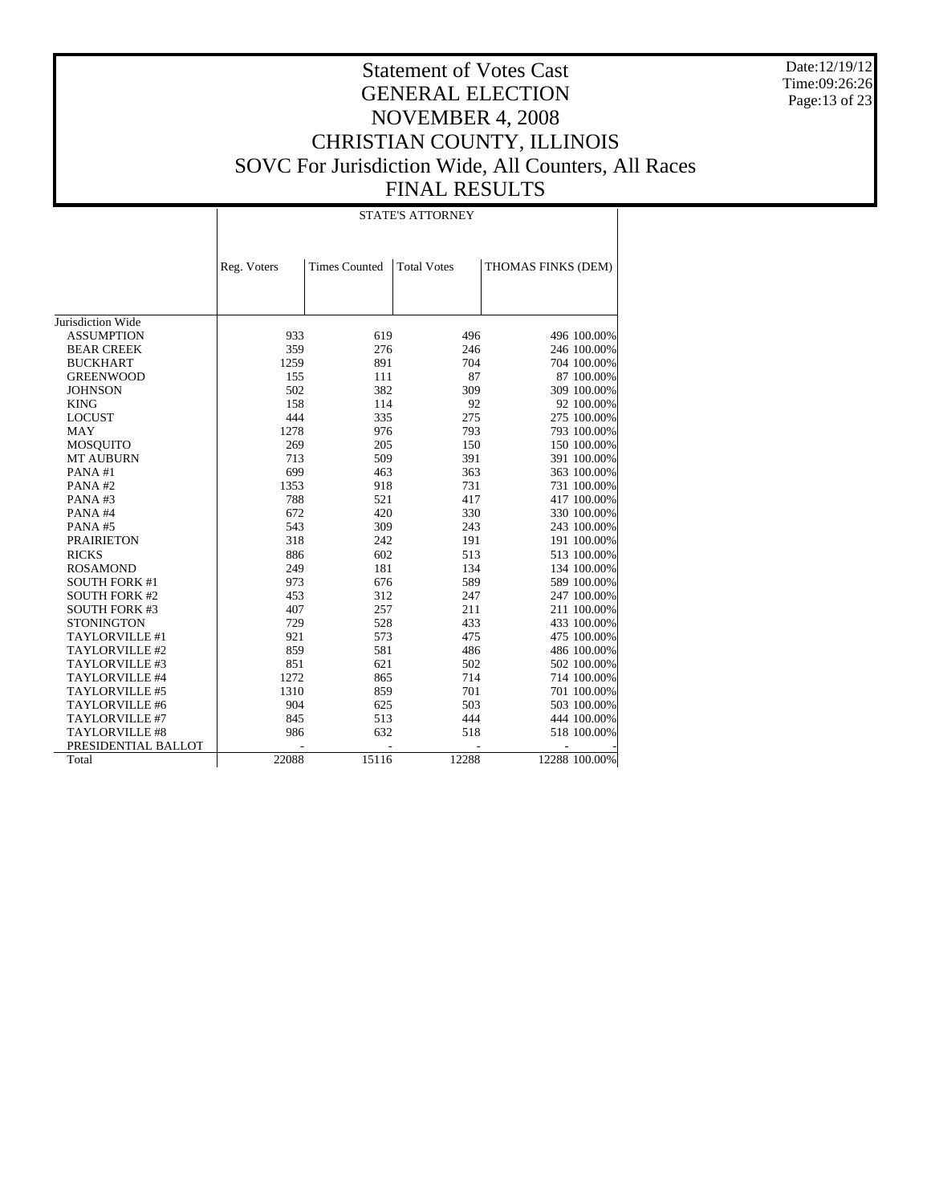Date:12/19/12 Time:09:26:26 Page:13 of 23

# Statement of Votes Cast GENERAL ELECTION NOVEMBER 4, 2008 CHRISTIAN COUNTY, ILLINOIS SOVC For Jurisdiction Wide, All Counters, All Races FINAL RESULTS

#### STATE'S ATTORNEY

|                       | Reg. Voters | <b>Times Counted</b> | <b>Total Votes</b> | THOMAS FINKS (DEM) |
|-----------------------|-------------|----------------------|--------------------|--------------------|
|                       |             |                      |                    |                    |
|                       |             |                      |                    |                    |
|                       |             |                      |                    |                    |
| Jurisdiction Wide     |             |                      |                    |                    |
| <b>ASSUMPTION</b>     | 933         | 619                  | 496                | 496 100.00%        |
| <b>BEAR CREEK</b>     | 359         | 276                  | 246                | 246 100.00%        |
| <b>BUCKHART</b>       | 1259        | 891                  | 704                | 704 100.00%        |
| <b>GREENWOOD</b>      | 155         | 111                  | 87                 | 87 100.00%         |
| <b>JOHNSON</b>        | 502         | 382                  | 309                | 309 100.00%        |
| <b>KING</b>           | 158         | 114                  | 92                 | 92 100.00%         |
| <b>LOCUST</b>         | 444         | 335                  | 275                | 275 100.00%        |
| <b>MAY</b>            | 1278        | 976                  | 793                | 793 100.00%        |
| <b>MOSQUITO</b>       | 269         | 205                  | 150                | 150 100.00%        |
| MT AUBURN             | 713         | 509                  | 391                | 391 100.00%        |
| PANA#1                | 699         | 463                  | 363                | 363 100.00%        |
| PANA#2                | 1353        | 918                  | 731                | 731 100.00%        |
| PANA#3                | 788         | 521                  | 417                | 417 100.00%        |
| PANA#4                | 672         | 420                  | 330                | 330 100.00%        |
| PANA#5                | 543         | 309                  | 243                | 243 100.00%        |
| <b>PRAIRIETON</b>     | 318         | 242                  | 191                | 191 100.00%        |
| <b>RICKS</b>          | 886         | 602                  | 513                | 513 100.00%        |
| <b>ROSAMOND</b>       | 249         | 181                  | 134                | 134 100.00%        |
| <b>SOUTH FORK #1</b>  | 973         | 676                  | 589                | 589 100.00%        |
| <b>SOUTH FORK #2</b>  | 453         | 312                  | 247                | 247 100.00%        |
| <b>SOUTH FORK #3</b>  | 407         | 257                  | 211                | 211 100.00%        |
| <b>STONINGTON</b>     | 729         | 528                  | 433                | 433 100.00%        |
| <b>TAYLORVILLE #1</b> | 921         | 573                  | 475                | 475 100.00%        |
| TAYLORVILLE #2        | 859         | 581                  | 486                | 486 100.00%        |
| TAYLORVILLE #3        | 851         | 621                  | 502                | 502 100.00%        |
| TAYLORVILLE #4        | 1272        | 865                  | 714                | 714 100.00%        |
| TAYLORVILLE #5        | 1310        | 859                  | 701                | 701 100.00%        |
| TAYLORVILLE #6        | 904         | 625                  | 503                | 503 100.00%        |
| TAYLORVILLE #7        | 845         | 513                  | 444                | 444 100.00%        |
| <b>TAYLORVILLE #8</b> | 986         | 632                  | 518                | 518 100.00%        |
| PRESIDENTIAL BALLOT   |             |                      |                    |                    |
| Total                 | 22088       | 15116                | 12288              | 12288 100.00%      |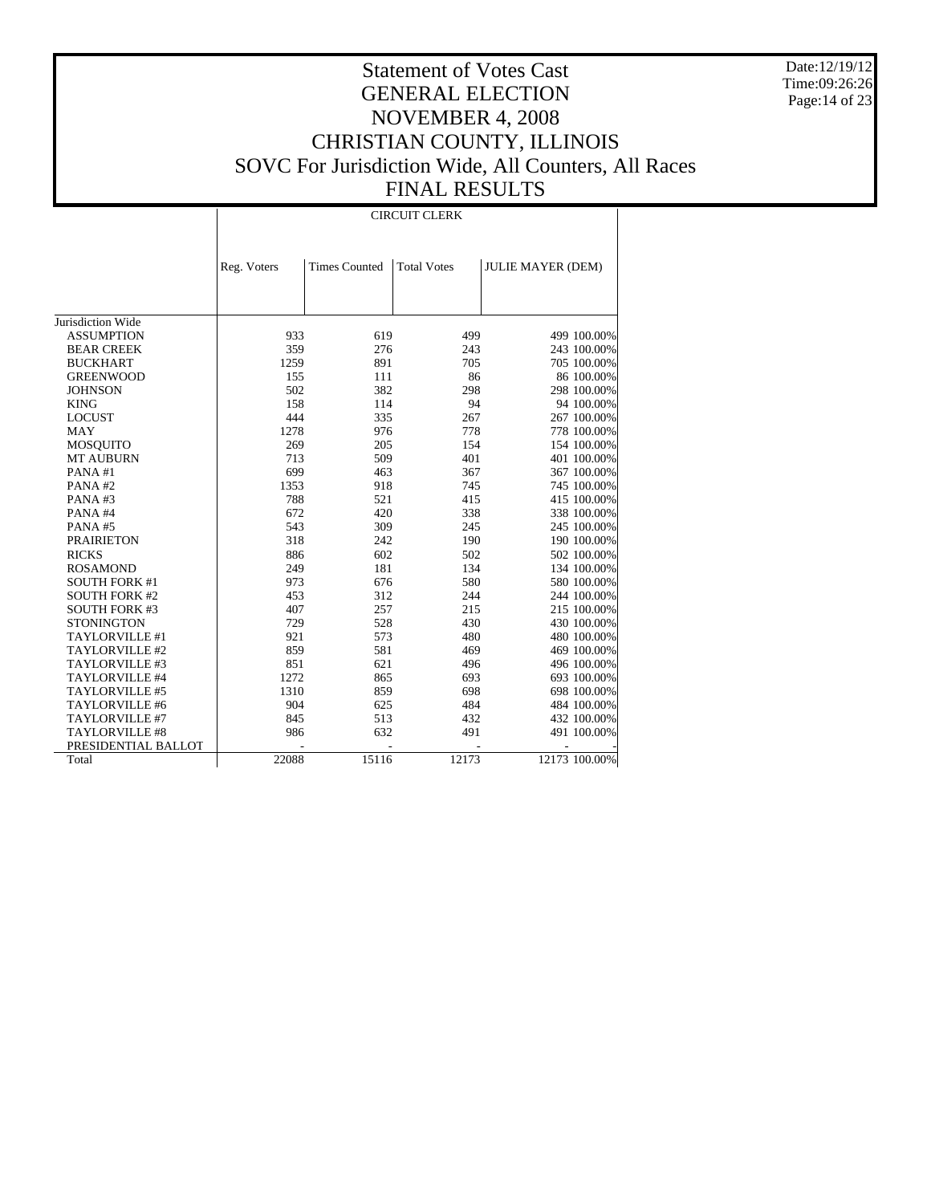Date:12/19/12 Time:09:26:26 Page:14 of 23

# Statement of Votes Cast GENERAL ELECTION NOVEMBER 4, 2008 CHRISTIAN COUNTY, ILLINOIS SOVC For Jurisdiction Wide, All Counters, All Races FINAL RESULTS

#### CIRCUIT CLERK

|                      | Reg. Voters | <b>Times Counted</b> | <b>Total Votes</b> | <b>JULIE MAYER (DEM)</b> |               |
|----------------------|-------------|----------------------|--------------------|--------------------------|---------------|
|                      |             |                      |                    |                          |               |
|                      |             |                      |                    |                          |               |
|                      |             |                      |                    |                          |               |
| Jurisdiction Wide    |             |                      |                    |                          |               |
| <b>ASSUMPTION</b>    | 933         | 619                  | 499                |                          | 499 100.00%   |
| <b>BEAR CREEK</b>    | 359         | 276                  | 243                |                          | 243 100.00%   |
| <b>BUCKHART</b>      | 1259        | 891                  | 705                |                          | 705 100.00%   |
| <b>GREENWOOD</b>     | 155         | 111                  | 86                 |                          | 86 100.00%    |
| <b>JOHNSON</b>       | 502         | 382                  | 298                |                          | 298 100.00%   |
| <b>KING</b>          | 158         | 114                  | 94                 |                          | 94 100.00%    |
| <b>LOCUST</b>        | 444         | 335                  | 267                |                          | 267 100.00%   |
| <b>MAY</b>           | 1278        | 976                  | 778                |                          | 778 100.00%   |
| MOSQUITO             | 269         | 205                  | 154                |                          | 154 100.00%   |
| <b>MT AUBURN</b>     | 713         | 509                  | 401                |                          | 401 100.00%   |
| PANA#1               | 699         | 463                  | 367                |                          | 367 100.00%   |
| PANA#2               | 1353        | 918                  | 745                |                          | 745 100.00%   |
| PANA#3               | 788         | 521                  | 415                |                          | 415 100.00%   |
| PANA#4               | 672         | 420                  | 338                |                          | 338 100.00%   |
| PANA#5               | 543         | 309                  | 245                |                          | 245 100.00%   |
| <b>PRAIRIETON</b>    | 318         | 242                  | 190                |                          | 190 100.00%   |
| <b>RICKS</b>         | 886         | 602                  | 502                |                          | 502 100.00%   |
| <b>ROSAMOND</b>      | 249         | 181                  | 134                |                          | 134 100.00%   |
| <b>SOUTH FORK #1</b> | 973         | 676                  | 580                |                          | 580 100.00%   |
| <b>SOUTH FORK #2</b> | 453         | 312                  | 244                |                          | 244 100.00%   |
| <b>SOUTH FORK #3</b> | 407         | 257                  | 215                |                          | 215 100.00%   |
| <b>STONINGTON</b>    | 729         | 528                  | 430                |                          | 430 100.00%   |
| TAYLORVILLE #1       | 921         | 573                  | 480                |                          | 480 100.00%   |
| TAYLORVILLE #2       | 859         | 581                  | 469                |                          | 469 100.00%   |
| TAYLORVILLE #3       | 851         | 621                  | 496                |                          | 496 100.00%   |
| TAYLORVILLE #4       | 1272        | 865                  | 693                |                          | 693 100.00%   |
| TAYLORVILLE #5       | 1310        | 859                  | 698                |                          | 698 100.00%   |
| TAYLORVILLE #6       | 904         | 625                  | 484                |                          | 484 100.00%   |
| TAYLORVILLE #7       | 845         | 513                  | 432                |                          | 432 100.00%   |
| TAYLORVILLE #8       | 986         | 632                  | 491                |                          | 491 100.00%   |
| PRESIDENTIAL BALLOT  |             |                      |                    |                          |               |
| Total                | 22088       | 15116                | 12173              |                          | 12173 100.00% |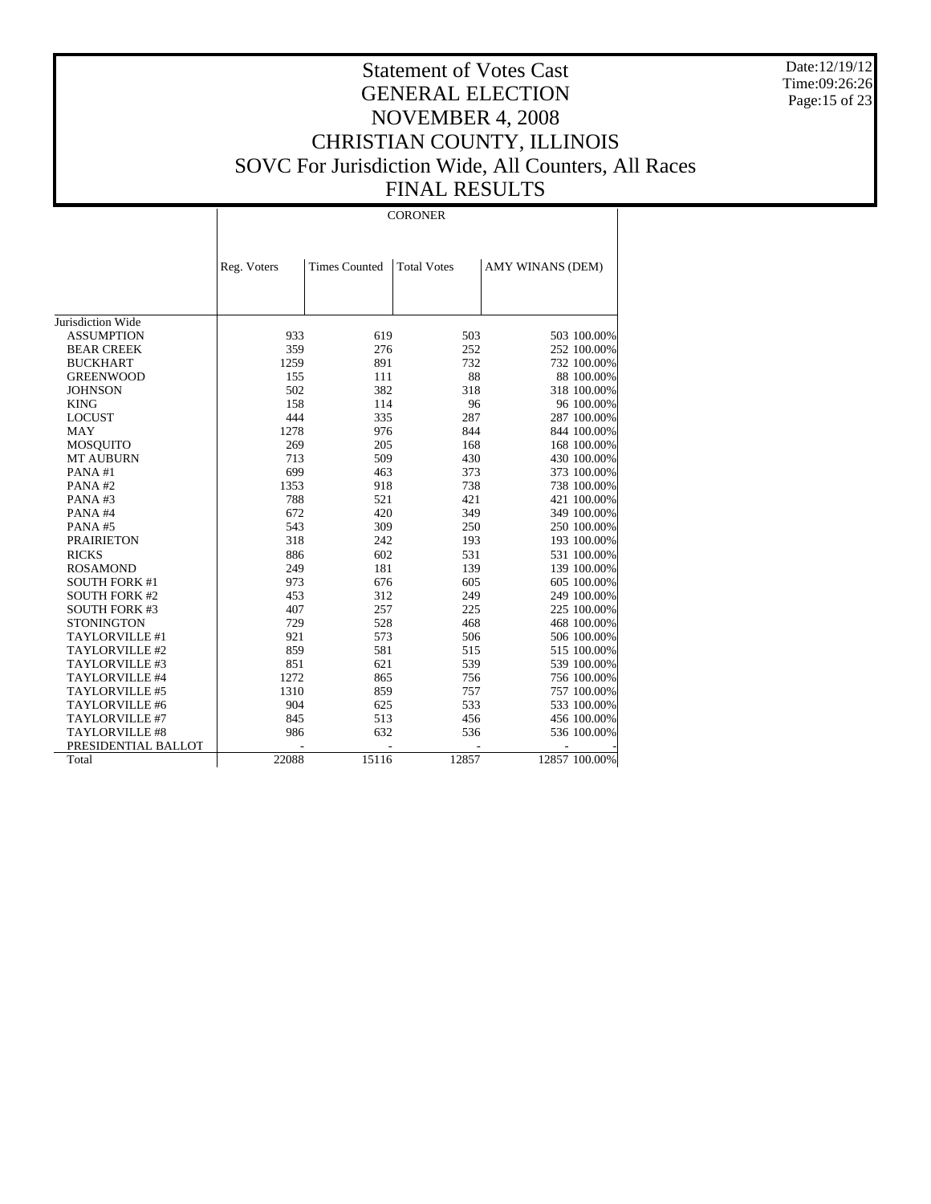Date:12/19/12 Time:09:26:26 Page:15 of 23

# Statement of Votes Cast GENERAL ELECTION NOVEMBER 4, 2008 CHRISTIAN COUNTY, ILLINOIS SOVC For Jurisdiction Wide, All Counters, All Races FINAL RESULTS

#### CORONER

|                       | Reg. Voters | <b>Times Counted</b> | <b>Total Votes</b> | AMY WINANS (DEM) |
|-----------------------|-------------|----------------------|--------------------|------------------|
|                       |             |                      |                    |                  |
|                       |             |                      |                    |                  |
|                       |             |                      |                    |                  |
| Jurisdiction Wide     |             |                      |                    |                  |
| <b>ASSUMPTION</b>     | 933         | 619                  | 503                | 503 100.00%      |
| <b>BEAR CREEK</b>     | 359         | 276                  | 252                | 252 100.00%      |
| <b>BUCKHART</b>       | 1259        | 891                  | 732                | 732 100.00%      |
| <b>GREENWOOD</b>      | 155         | 111                  | 88                 | 88 100.00%       |
| <b>JOHNSON</b>        | 502         | 382                  | 318                | 318 100.00%      |
| <b>KING</b>           | 158         | 114                  | 96                 | 96 100.00%       |
| <b>LOCUST</b>         | 444         | 335                  | 287                | 287 100.00%      |
| <b>MAY</b>            | 1278        | 976                  | 844                | 844 100.00%      |
| <b>MOSQUITO</b>       | 269         | 205                  | 168                | 168 100.00%      |
| <b>MT AUBURN</b>      | 713         | 509                  | 430                | 430 100.00%      |
| PANA#1                | 699         | 463                  | 373                | 373 100.00%      |
| PANA#2                | 1353        | 918                  | 738                | 738 100.00%      |
| PANA#3                | 788         | 521                  | 421                | 421 100.00%      |
| PANA#4                | 672         | 420                  | 349                | 349 100.00%      |
| PANA#5                | 543         | 309                  | 250                | 250 100.00%      |
| <b>PRAIRIETON</b>     | 318         | 242                  | 193                | 193 100.00%      |
| <b>RICKS</b>          | 886         | 602                  | 531                | 531 100.00%      |
| <b>ROSAMOND</b>       | 249         | 181                  | 139                | 139 100.00%      |
| <b>SOUTH FORK #1</b>  | 973         | 676                  | 605                | 605 100.00%      |
| <b>SOUTH FORK #2</b>  | 453         | 312                  | 249                | 249 100.00%      |
| <b>SOUTH FORK #3</b>  | 407         | 257                  | 225                | 225 100.00%      |
| <b>STONINGTON</b>     | 729         | 528                  | 468                | 468 100.00%      |
| TAYLORVILLE #1        | 921         | 573                  | 506                | 506 100.00%      |
| TAYLORVILLE #2        | 859         | 581                  | 515                | 515 100.00%      |
| TAYLORVILLE #3        | 851         | 621                  | 539                | 539 100.00%      |
| TAYLORVILLE #4        | 1272        | 865                  | 756                | 756 100.00%      |
| TAYLORVILLE #5        | 1310        | 859                  | 757                | 757 100.00%      |
| TAYLORVILLE #6        | 904         | 625                  | 533                | 533 100.00%      |
| TAYLORVILLE #7        | 845         | 513                  | 456                | 456 100.00%      |
| <b>TAYLORVILLE #8</b> | 986         | 632                  | 536                | 536 100.00%      |
| PRESIDENTIAL BALLOT   |             |                      |                    |                  |
| Total                 | 22088       | 15116                | 12857              | 12857 100.00%    |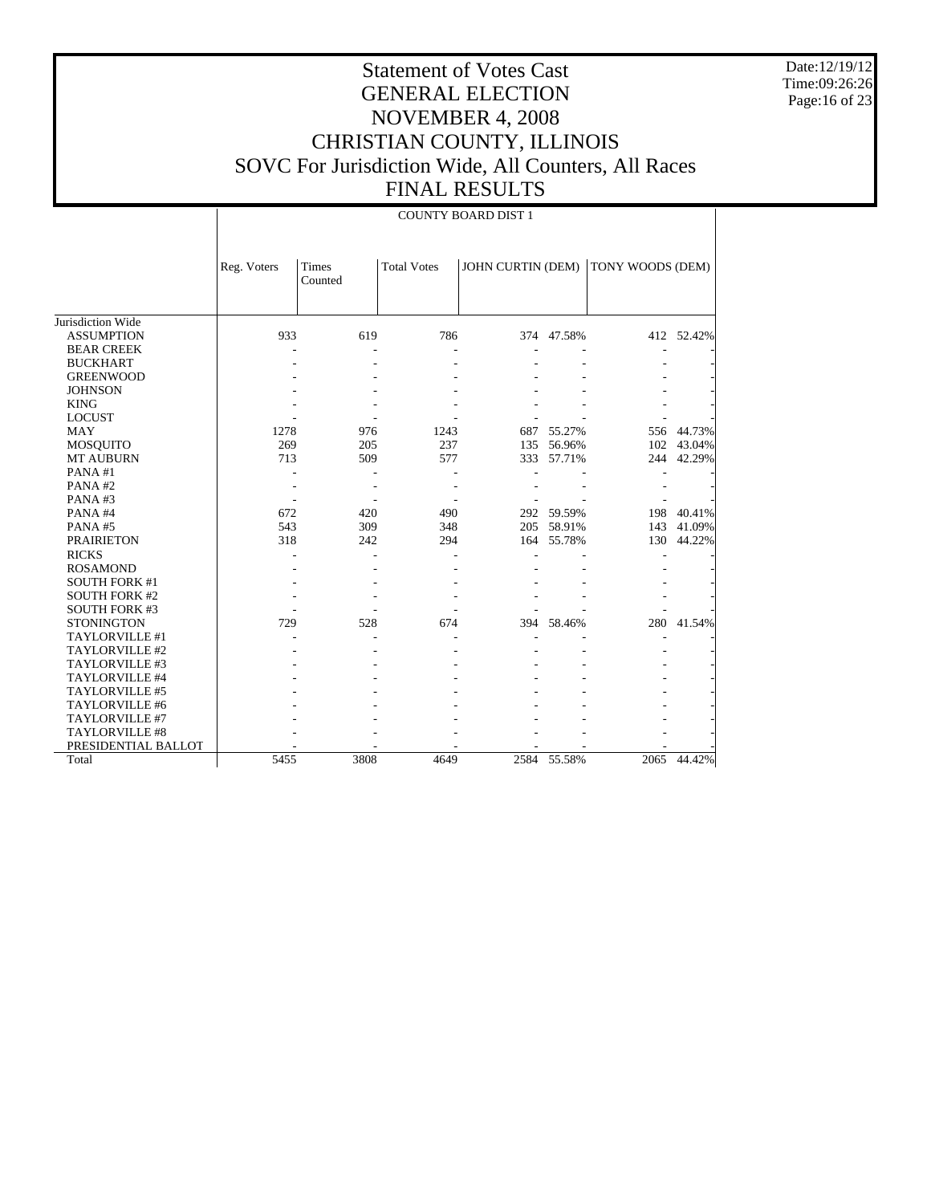Date:12/19/12 Time:09:26:26 Page:16 of 23

# Statement of Votes Cast GENERAL ELECTION NOVEMBER 4, 2008 CHRISTIAN COUNTY, ILLINOIS SOVC For Jurisdiction Wide, All Counters, All Races FINAL RESULTS

|                       |             | <b>COUNTY BOARD DIST 1</b> |                    |                          |             |                  |             |  |
|-----------------------|-------------|----------------------------|--------------------|--------------------------|-------------|------------------|-------------|--|
|                       | Reg. Voters | <b>Times</b><br>Counted    | <b>Total Votes</b> | <b>JOHN CURTIN (DEM)</b> |             | TONY WOODS (DEM) |             |  |
| Jurisdiction Wide     |             |                            |                    |                          |             |                  |             |  |
| <b>ASSUMPTION</b>     | 933         | 619                        | 786                |                          | 374 47.58%  |                  | 412 52.42%  |  |
| <b>BEAR CREEK</b>     |             |                            |                    |                          |             |                  |             |  |
| <b>BUCKHART</b>       |             |                            |                    |                          |             |                  |             |  |
| <b>GREENWOOD</b>      |             |                            |                    |                          |             |                  |             |  |
| <b>JOHNSON</b>        |             |                            |                    |                          |             |                  |             |  |
| <b>KING</b>           |             |                            |                    |                          |             |                  |             |  |
| <b>LOCUST</b>         |             |                            |                    |                          |             |                  |             |  |
| <b>MAY</b>            | 1278        | 976                        | 1243               |                          | 687 55.27%  |                  | 556 44.73%  |  |
| <b>MOSQUITO</b>       | 269         | 205                        | 237                |                          | 135 56.96%  |                  | 102 43.04%  |  |
| <b>MT AUBURN</b>      | 713         | 509                        | 577                |                          | 333 57.71%  |                  | 244 42.29%  |  |
| PANA#1                |             |                            |                    |                          |             |                  |             |  |
| PANA#2                |             |                            |                    |                          |             |                  |             |  |
| PANA#3                |             |                            |                    |                          |             |                  |             |  |
| PANA#4                | 672         | 420                        | 490                |                          | 292 59.59%  |                  | 198 40.41%  |  |
| PANA#5                | 543         | 309                        | 348                |                          | 205 58.91%  | 143              | 41.09%      |  |
| <b>PRAIRIETON</b>     | 318         | 242                        | 294                |                          | 164 55.78%  | 130              | 44.22%      |  |
| <b>RICKS</b>          |             |                            |                    |                          |             |                  |             |  |
| <b>ROSAMOND</b>       |             |                            |                    |                          |             |                  |             |  |
| <b>SOUTH FORK #1</b>  |             |                            |                    |                          |             |                  |             |  |
| <b>SOUTH FORK #2</b>  |             |                            |                    |                          |             |                  |             |  |
| <b>SOUTH FORK #3</b>  |             |                            |                    |                          |             |                  |             |  |
| <b>STONINGTON</b>     | 729         | 528                        | 674                | 394                      | 58.46%      |                  | 280 41.54%  |  |
| TAYLORVILLE #1        |             |                            |                    |                          |             |                  |             |  |
| TAYLORVILLE #2        |             |                            |                    |                          |             |                  |             |  |
| TAYLORVILLE #3        |             |                            |                    |                          |             |                  |             |  |
| TAYLORVILLE #4        |             |                            |                    |                          |             |                  |             |  |
| TAYLORVILLE #5        |             |                            |                    |                          |             |                  |             |  |
| TAYLORVILLE #6        |             |                            |                    |                          |             |                  |             |  |
| TAYLORVILLE #7        |             |                            |                    |                          |             |                  |             |  |
| <b>TAYLORVILLE #8</b> |             |                            |                    |                          |             |                  |             |  |
| PRESIDENTIAL BALLOT   |             |                            |                    |                          |             |                  |             |  |
| Total                 | 5455        | 3808                       | 4649               |                          | 2584 55.58% |                  | 2065 44.42% |  |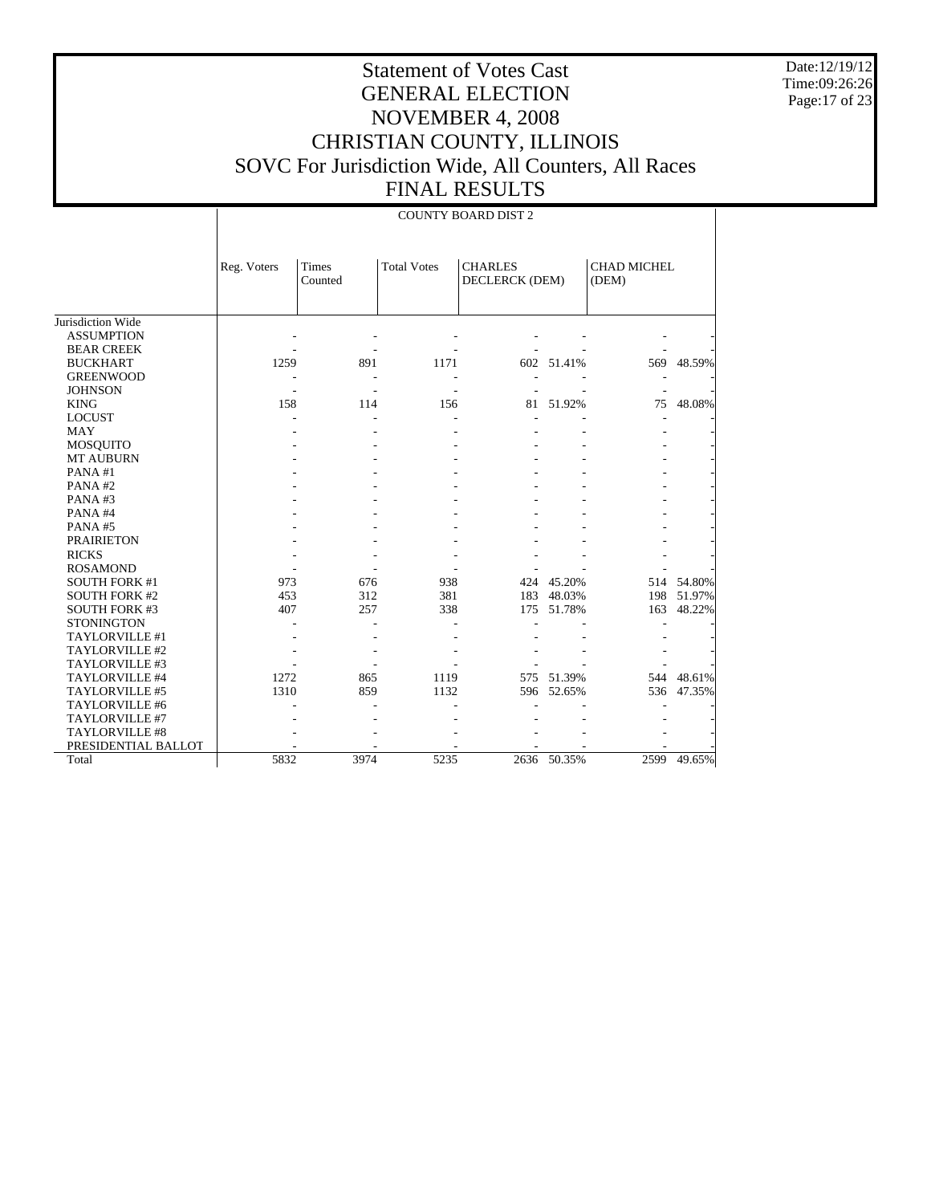Date:12/19/12 Time:09:26:26 Page:17 of 23

|                       |             | <b>COUNTY BOARD DIST 2</b> |                    |                                  |             |                             |            |  |
|-----------------------|-------------|----------------------------|--------------------|----------------------------------|-------------|-----------------------------|------------|--|
|                       | Reg. Voters | <b>Times</b><br>Counted    | <b>Total Votes</b> | <b>CHARLES</b><br>DECLERCK (DEM) |             | <b>CHAD MICHEL</b><br>(DEM) |            |  |
| Jurisdiction Wide     |             |                            |                    |                                  |             |                             |            |  |
| <b>ASSUMPTION</b>     |             |                            |                    |                                  |             |                             |            |  |
| <b>BEAR CREEK</b>     |             |                            |                    |                                  |             |                             |            |  |
| <b>BUCKHART</b>       | 1259        | 891                        | 1171               |                                  | 602 51.41%  |                             | 569 48.59% |  |
| <b>GREENWOOD</b>      |             |                            |                    |                                  |             |                             |            |  |
| <b>JOHNSON</b>        |             |                            |                    |                                  |             |                             |            |  |
| <b>KING</b>           | 158         | 114                        | 156                |                                  | 81 51.92%   | 75                          | 48.08%     |  |
| <b>LOCUST</b>         |             |                            |                    |                                  |             | L                           |            |  |
| MAY                   |             |                            |                    |                                  |             |                             |            |  |
| <b>MOSQUITO</b>       |             |                            |                    |                                  |             |                             |            |  |
| <b>MT AUBURN</b>      |             |                            |                    |                                  |             |                             |            |  |
| PANA#1                |             |                            |                    |                                  |             |                             |            |  |
| PANA#2                |             |                            |                    |                                  |             |                             |            |  |
| PANA#3                |             |                            |                    |                                  |             |                             |            |  |
| PANA#4                |             |                            |                    |                                  |             |                             |            |  |
| PANA#5                |             |                            |                    |                                  |             |                             |            |  |
| <b>PRAIRIETON</b>     |             |                            |                    |                                  |             |                             |            |  |
| <b>RICKS</b>          |             |                            |                    |                                  |             |                             |            |  |
| <b>ROSAMOND</b>       |             |                            |                    |                                  |             |                             |            |  |
| <b>SOUTH FORK #1</b>  | 973         | 676                        | 938                |                                  | 424 45.20%  |                             | 514 54.80% |  |
| <b>SOUTH FORK #2</b>  | 453         | 312                        | 381                |                                  | 183 48.03%  |                             | 198 51.97% |  |
| <b>SOUTH FORK #3</b>  | 407         | 257                        | 338                |                                  | 175 51.78%  | 163                         | 48.22%     |  |
| <b>STONINGTON</b>     |             |                            |                    |                                  |             |                             |            |  |
| TAYLORVILLE #1        |             |                            |                    |                                  |             |                             |            |  |
| TAYLORVILLE #2        |             |                            |                    |                                  |             |                             |            |  |
| TAYLORVILLE #3        |             |                            |                    |                                  |             |                             |            |  |
| TAYLORVILLE #4        | 1272        | 865                        | 1119               |                                  | 575 51.39%  |                             | 544 48.61% |  |
| TAYLORVILLE #5        | 1310        | 859                        | 1132               | 596                              | 52.65%      |                             | 536 47.35% |  |
| TAYLORVILLE #6        |             |                            |                    |                                  |             |                             |            |  |
| TAYLORVILLE #7        |             |                            |                    |                                  |             |                             |            |  |
| <b>TAYLORVILLE #8</b> |             |                            |                    |                                  |             |                             |            |  |
| PRESIDENTIAL BALLOT   |             |                            |                    |                                  |             |                             |            |  |
| Total                 | 5832        | 3974                       | 5235               |                                  | 2636 50.35% | 2599                        | 49.65%     |  |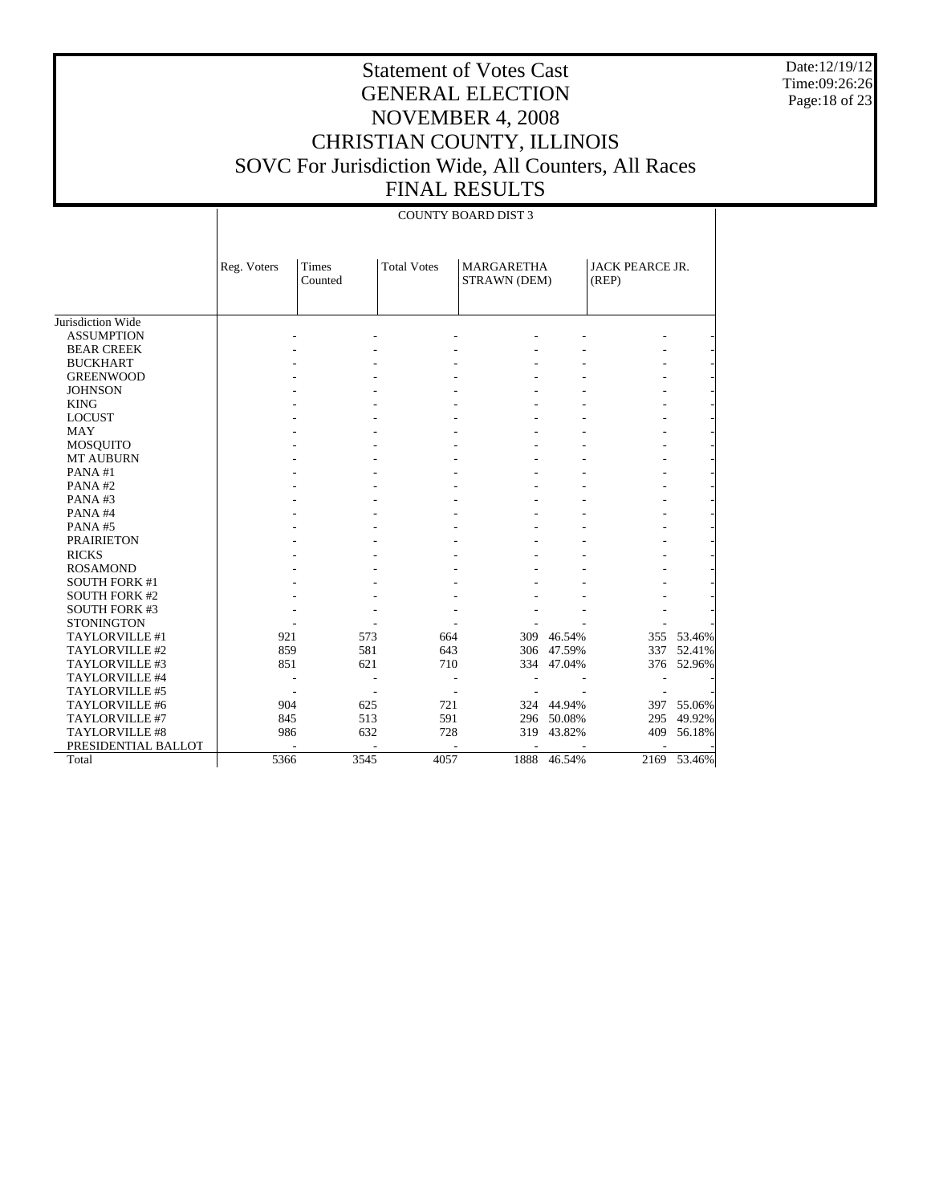Date:12/19/12 Time:09:26:26 Page:18 of 23

|                      |             | <b>COUNTY BOARD DIST 3</b> |                    |                                   |            |                                 |            |  |  |
|----------------------|-------------|----------------------------|--------------------|-----------------------------------|------------|---------------------------------|------------|--|--|
|                      | Reg. Voters | Times<br>Counted           | <b>Total Votes</b> | <b>MARGARETHA</b><br>STRAWN (DEM) |            | <b>JACK PEARCE JR.</b><br>(REP) |            |  |  |
| Jurisdiction Wide    |             |                            |                    |                                   |            |                                 |            |  |  |
| <b>ASSUMPTION</b>    |             |                            |                    |                                   |            |                                 |            |  |  |
| <b>BEAR CREEK</b>    |             |                            |                    |                                   |            |                                 |            |  |  |
| <b>BUCKHART</b>      |             |                            |                    |                                   |            |                                 |            |  |  |
| <b>GREENWOOD</b>     |             |                            |                    |                                   |            |                                 |            |  |  |
| <b>JOHNSON</b>       |             |                            |                    |                                   |            |                                 |            |  |  |
| <b>KING</b>          |             |                            |                    |                                   |            |                                 |            |  |  |
| <b>LOCUST</b>        |             |                            |                    |                                   |            |                                 |            |  |  |
| <b>MAY</b>           |             |                            |                    |                                   |            |                                 |            |  |  |
| MOSQUITO             |             |                            |                    |                                   |            |                                 |            |  |  |
| MT AUBURN            |             |                            |                    |                                   |            |                                 |            |  |  |
| PANA#1               |             |                            |                    |                                   |            |                                 |            |  |  |
| PANA#2               |             |                            |                    |                                   |            |                                 |            |  |  |
| PANA#3               |             |                            |                    |                                   |            |                                 |            |  |  |
| PANA#4               |             |                            |                    |                                   |            |                                 |            |  |  |
| PANA#5               |             |                            |                    |                                   |            |                                 |            |  |  |
| <b>PRAIRIETON</b>    |             |                            |                    |                                   |            |                                 |            |  |  |
| <b>RICKS</b>         |             |                            |                    |                                   |            |                                 |            |  |  |
| <b>ROSAMOND</b>      |             |                            |                    |                                   |            |                                 |            |  |  |
| <b>SOUTH FORK #1</b> |             |                            |                    |                                   |            |                                 |            |  |  |
| <b>SOUTH FORK #2</b> |             |                            |                    |                                   |            |                                 |            |  |  |
| <b>SOUTH FORK #3</b> |             |                            |                    |                                   |            |                                 |            |  |  |
| <b>STONINGTON</b>    |             |                            |                    |                                   |            |                                 |            |  |  |
| TAYLORVILLE #1       | 921         | 573                        | 664                |                                   | 309 46.54% |                                 | 355 53.46% |  |  |
| TAYLORVILLE #2       | 859         | 581                        | 643                |                                   | 306 47.59% |                                 | 337 52.41% |  |  |
| TAYLORVILLE #3       | 851         | 621                        | 710                |                                   | 334 47.04% |                                 | 376 52.96% |  |  |
| TAYLORVILLE #4       |             |                            |                    |                                   |            |                                 |            |  |  |
| TAYLORVILLE #5       |             |                            |                    |                                   |            |                                 |            |  |  |
| TAYLORVILLE #6       | 904         | 625                        | 721                |                                   | 324 44.94% |                                 | 397 55.06% |  |  |
| TAYLORVILLE #7       | 845         | 513                        | 591                |                                   | 296 50.08% | 295                             | 49.92%     |  |  |
| TAYLORVILLE #8       | 986         | 632                        | 728                |                                   | 319 43.82% | 409                             | 56.18%     |  |  |
| PRESIDENTIAL BALLOT  |             |                            |                    |                                   |            |                                 |            |  |  |
| Total                | 5366        | 3545                       | 4057               | 1888                              | 46.54%     | 2169                            | 53.46%     |  |  |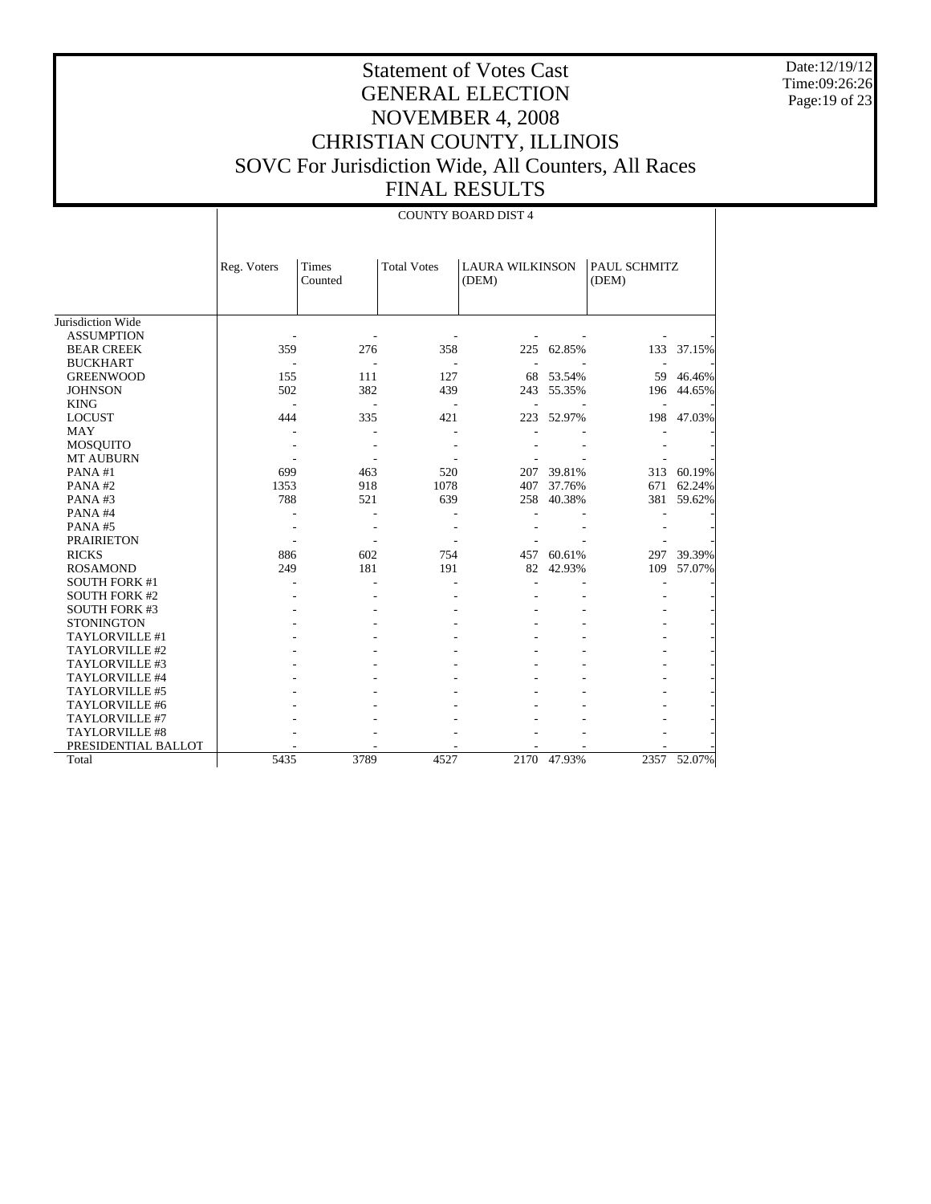Date:12/19/12 Time:09:26:26 Page:19 of 23

|                       |             |                  |                    | <b>COUNTY BOARD DIST 4</b>      |            |                       |        |
|-----------------------|-------------|------------------|--------------------|---------------------------------|------------|-----------------------|--------|
|                       | Reg. Voters | Times<br>Counted | <b>Total Votes</b> | <b>LAURA WILKINSON</b><br>(DEM) |            | PAUL SCHMITZ<br>(DEM) |        |
| Jurisdiction Wide     |             |                  |                    |                                 |            |                       |        |
| <b>ASSUMPTION</b>     |             |                  |                    |                                 |            |                       |        |
| <b>BEAR CREEK</b>     | 359         | 276              | 358                |                                 | 225 62.85% | 133                   | 37.15% |
| <b>BUCKHART</b>       |             |                  |                    |                                 |            |                       |        |
| <b>GREENWOOD</b>      | 155         | 111              | 127                | 68                              | 53.54%     | 59                    | 46.46% |
| <b>JOHNSON</b>        | 502         | 382              | 439                | 243                             | 55.35%     | 196                   | 44.65% |
| <b>KING</b>           |             | L.               |                    |                                 |            |                       |        |
| <b>LOCUST</b>         | 444         | 335              | 421                | 223                             | 52.97%     | 198                   | 47.03% |
| <b>MAY</b>            |             |                  |                    |                                 |            |                       |        |
| <b>MOSQUITO</b>       |             |                  |                    |                                 |            |                       |        |
| <b>MT AUBURN</b>      |             |                  |                    |                                 |            |                       |        |
| PANA#1                | 699         | 463              | 520                | 207                             | 39.81%     | 313                   | 60.19% |
| PANA#2                | 1353        | 918              | 1078               | 407                             | 37.76%     | 671                   | 62.24% |
| PANA#3                | 788         | 521              | 639                | 258                             | 40.38%     | 381                   | 59.62% |
| PANA#4                |             |                  |                    |                                 |            |                       |        |
| PANA#5                |             |                  |                    |                                 |            |                       |        |
| <b>PRAIRIETON</b>     |             |                  |                    |                                 |            |                       |        |
| <b>RICKS</b>          | 886         | 602              | 754                | 457                             | 60.61%     | 297                   | 39.39% |
| <b>ROSAMOND</b>       | 249         | 181              | 191                | 82                              | 42.93%     | 109                   | 57.07% |
| <b>SOUTH FORK #1</b>  |             |                  |                    |                                 |            |                       |        |
| <b>SOUTH FORK #2</b>  |             |                  |                    |                                 |            |                       |        |
| <b>SOUTH FORK #3</b>  |             |                  |                    |                                 |            |                       |        |
| <b>STONINGTON</b>     |             |                  |                    |                                 |            |                       |        |
| TAYLORVILLE #1        |             |                  |                    |                                 |            |                       |        |
| TAYLORVILLE #2        |             |                  |                    |                                 |            |                       |        |
| TAYLORVILLE #3        |             |                  |                    |                                 |            |                       |        |
| TAYLORVILLE #4        |             |                  |                    |                                 |            |                       |        |
| TAYLORVILLE #5        |             |                  |                    |                                 |            |                       |        |
| TAYLORVILLE #6        |             |                  |                    |                                 |            |                       |        |
| TAYLORVILLE #7        |             |                  |                    |                                 |            |                       |        |
| <b>TAYLORVILLE #8</b> |             |                  |                    |                                 |            |                       |        |
| PRESIDENTIAL BALLOT   |             |                  |                    |                                 |            |                       |        |
| Total                 | 5435        | 3789             | 4527               | 2170                            | 47.93%     | 2357                  | 52.07% |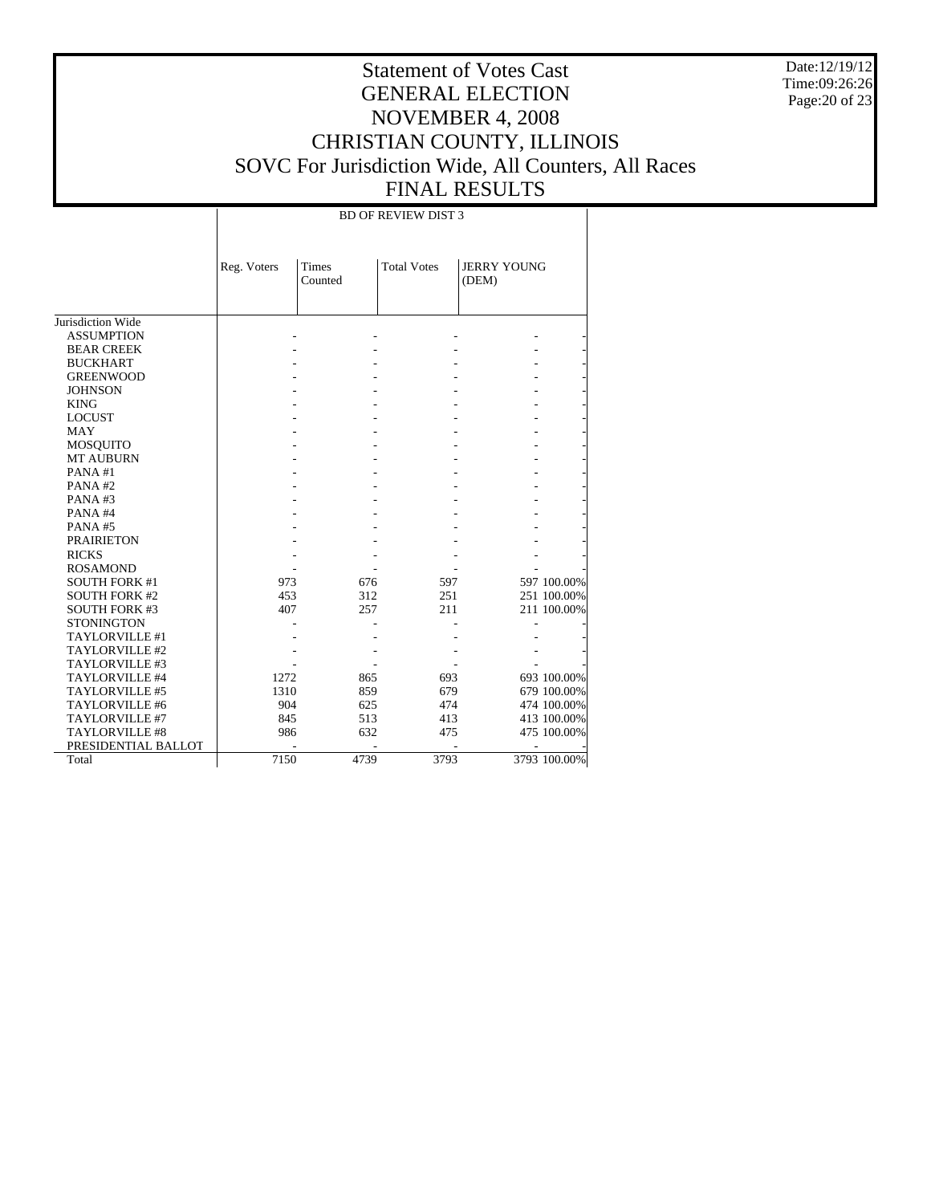Date:12/19/12 Time:09:26:26 Page:20 of 23

# Statement of Votes Cast GENERAL ELECTION NOVEMBER 4, 2008 CHRISTIAN COUNTY, ILLINOIS SOVC For Jurisdiction Wide, All Counters, All Races FINAL RESULTS

#### BD OF REVIEW DIST 3

|                       | Reg. Voters | <b>Times</b><br>Counted | <b>Total Votes</b> | <b>JERRY YOUNG</b><br>(DEM) |              |
|-----------------------|-------------|-------------------------|--------------------|-----------------------------|--------------|
|                       |             |                         |                    |                             |              |
| Jurisdiction Wide     |             |                         |                    |                             |              |
| <b>ASSUMPTION</b>     |             |                         |                    |                             |              |
| <b>BEAR CREEK</b>     |             |                         |                    |                             |              |
| <b>BUCKHART</b>       |             |                         |                    |                             |              |
| <b>GREENWOOD</b>      |             |                         |                    |                             |              |
| <b>JOHNSON</b>        |             |                         |                    |                             |              |
| <b>KING</b>           |             |                         |                    |                             |              |
| <b>LOCUST</b>         |             |                         |                    |                             |              |
| <b>MAY</b>            |             |                         |                    |                             |              |
| MOSQUITO              |             |                         |                    |                             |              |
| <b>MT AUBURN</b>      |             |                         |                    |                             |              |
| PANA#1                |             |                         |                    |                             |              |
| PANA#2                |             |                         |                    |                             |              |
| PANA#3                |             |                         |                    |                             |              |
| PANA#4                |             |                         |                    |                             |              |
| PANA#5                |             |                         |                    |                             |              |
| <b>PRAIRIETON</b>     |             |                         |                    |                             |              |
| <b>RICKS</b>          |             |                         |                    |                             |              |
| <b>ROSAMOND</b>       |             |                         |                    |                             |              |
| <b>SOUTH FORK #1</b>  | 973         | 676                     | 597                |                             | 597 100.00%  |
| <b>SOUTH FORK #2</b>  | 453         | 312                     | 251                |                             | 251 100.00%  |
| <b>SOUTH FORK #3</b>  | 407         | 257                     | 211                |                             | 211 100.00%  |
| <b>STONINGTON</b>     |             |                         |                    |                             |              |
| TAYLORVILLE #1        |             |                         |                    |                             |              |
| TAYLORVILLE #2        |             |                         |                    |                             |              |
| TAYLORVILLE #3        |             |                         |                    |                             |              |
| TAYLORVILLE #4        | 1272        | 865                     | 693                |                             | 693 100.00%  |
| TAYLORVILLE #5        | 1310        | 859                     | 679                |                             | 679 100.00%  |
| TAYLORVILLE #6        | 904         | 625                     | 474                |                             | 474 100.00%  |
| TAYLORVILLE #7        | 845         | 513                     | 413                |                             | 413 100.00%  |
| <b>TAYLORVILLE #8</b> | 986         | 632                     | 475                |                             | 475 100.00%  |
| PRESIDENTIAL BALLOT   |             |                         |                    |                             |              |
| Total                 | 7150        | 4739                    | 3793               |                             | 3793 100.00% |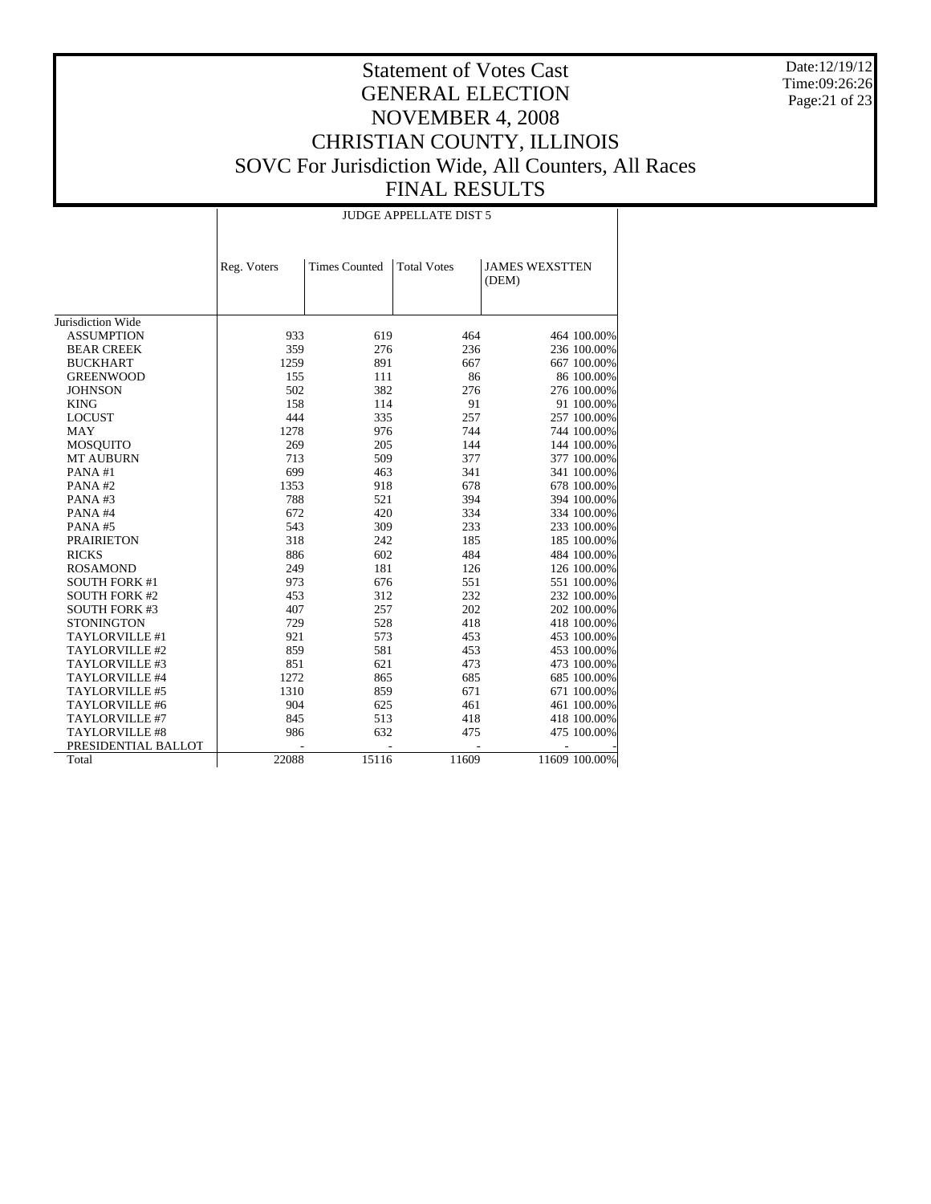Date:12/19/12 Time:09:26:26 Page:21 of 23

#### Statement of Votes Cast GENERAL ELECTION NOVEMBER 4, 2008 CHRISTIAN COUNTY, ILLINOIS SOVC For Jurisdiction Wide, All Counters, All Races FINAL RESULTS

#### Jurisdiction Wide ASSUMPTION BEAR CREEK BUCKHART GREENWOOD **JOHNSON**  KING LOCUST MAY MOSQUITO MT AUBURN PANA #1 PANA #2 PANA #3 PANA #4 PANA #5 PRAIRIETON RICKS ROSAMOND SOUTH FORK #1 SOUTH FORK #2 SOUTH FORK #3 **STONINGTON**  TAYLORVILLE #1 TAYLORVILLE #2 TAYLORVILLE #3 TAYLORVILLE #4 TAYLORVILLE #5 TAYLORVILLE #6 TAYLORVILLE #7 TAYLORVILLE #8 PRESIDENTIAL BALLOT Total Reg. Voters | Times Counted | Total Votes | JAMES WEXSTTEN (DEM) JUDGE APPELLATE DIST 5 933 619 464 464 100.00%<br>359 276 236 236 236 100.00% 359 276 236 236 236 100.00%<br>1259 891 667 667 100.00% 1259 891 667 667 667 100.00%<br>125 111 86 86 100.00% 155 111 86 86 100.00%<br>502 382 276 276 100.00% 276 100.00% 158 114 91 91 100.00%<br>444 335 257 257 100.00% 257 100.00% 1278 976 744 744 100.00%<br>269 205 144 144 100.00% 269 205 144 144 100.00%<br>
269 277 377 100.00% 377 100.00% 699 463 341 341 100.00% 678 678 100.00%<br>394 394 100.00% 788 521 394 394 100.00% 672 420 334 334 100.00%<br>543 309 233 233 100.00% 543 309 233 233 100.00% 318 242 185 185 100.00%<br>886 602 484 484 100.00% 484 100.00% 249 181 126 126 126 100.00%<br>973 676 551 551 100.00% 973 676 551 551 676<br>453 312 232 232 100.00% 407 312 232 232 100.00%<br>407 257 202 202 100.00% 407 257 202 202 100.00%<br>  $729$  528 418 418 100.00% 418 100.00% 921 573 453 453 100.00% 453 100.00% 851 621 473 473 685 685 685 686 685 687 687 687 687 687 687 688 100.00% 1272 865 685 685 100.00%<br>1310 859 671 671 100.00% 671 100.00% 904 625 461 461 100.00%<br>845 513 418 418 100.00% 418 100.00% 986 632 475 475 100.00% - - - - - 22088 15116 11609 11609 100.00%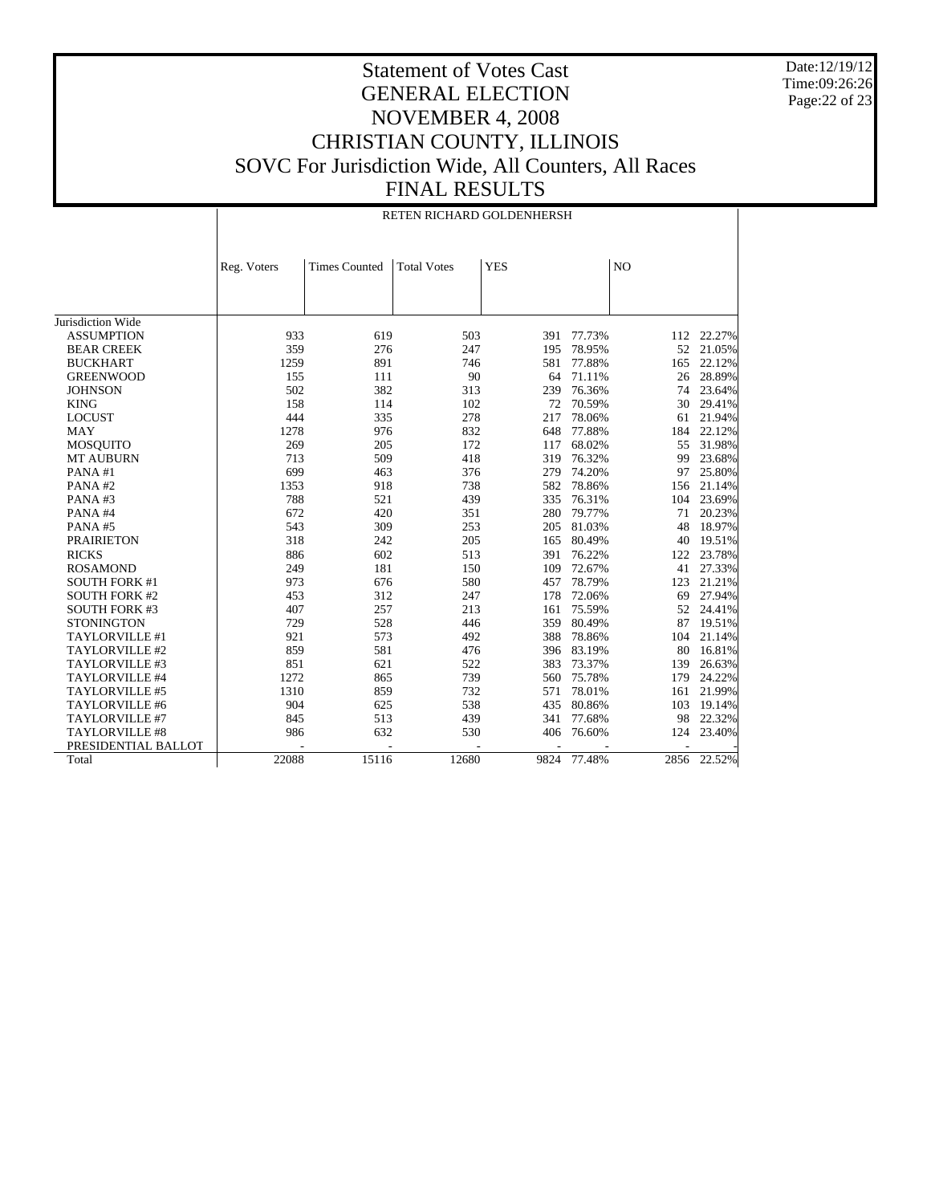Date:12/19/12 Time:09:26:26 Page:22 of 23

|                      | RETEN RICHARD GOLDENHERSH |                      |                    |            |             |                |        |
|----------------------|---------------------------|----------------------|--------------------|------------|-------------|----------------|--------|
|                      | Reg. Voters               | <b>Times Counted</b> | <b>Total Votes</b> | <b>YES</b> |             | N <sub>O</sub> |        |
|                      |                           |                      |                    |            |             |                |        |
| Jurisdiction Wide    |                           |                      |                    |            |             |                |        |
| <b>ASSUMPTION</b>    | 933                       | 619                  | 503                | 391        | 77.73%      | 112            | 22.27% |
| <b>BEAR CREEK</b>    | 359                       | 276                  | 247                | 195        | 78.95%      | 52             | 21.05% |
| <b>BUCKHART</b>      | 1259                      | 891                  | 746                | 581        | 77.88%      | 165            | 22.12% |
| <b>GREENWOOD</b>     | 155                       | 111                  | 90                 | 64         | 71.11%      | 26             | 28.89% |
| <b>JOHNSON</b>       | 502                       | 382                  | 313                | 239        | 76.36%      | 74             | 23.64% |
| <b>KING</b>          | 158                       | 114                  | 102                | 72         | 70.59%      | 30             | 29.41% |
| <b>LOCUST</b>        | 444                       | 335                  | 278                | 217        | 78.06%      | 61             | 21.94% |
| <b>MAY</b>           | 1278                      | 976                  | 832                | 648        | 77.88%      | 184            | 22.12% |
| <b>MOSQUITO</b>      | 269                       | 205                  | 172                | 117        | 68.02%      | 55             | 31.98% |
| <b>MT AUBURN</b>     | 713                       | 509                  | 418                | 319        | 76.32%      | 99             | 23.68% |
| PANA#1               | 699                       | 463                  | 376                | 279        | 74.20%      | 97             | 25.80% |
| PANA#2               | 1353                      | 918                  | 738                | 582        | 78.86%      | 156            | 21.14% |
| PANA#3               | 788                       | 521                  | 439                | 335        | 76.31%      | 104            | 23.69% |
| PANA#4               | 672                       | 420                  | 351                | 280        | 79.77%      | 71             | 20.23% |
| PANA#5               | 543                       | 309                  | 253                | 205        | 81.03%      | 48             | 18.97% |
| <b>PRAIRIETON</b>    | 318                       | 242                  | 205                | 165        | 80.49%      | 40             | 19.51% |
| <b>RICKS</b>         | 886                       | 602                  | 513                | 391        | 76.22%      | 122            | 23.78% |
| <b>ROSAMOND</b>      | 249                       | 181                  | 150                | 109        | 72.67%      | 41             | 27.33% |
| <b>SOUTH FORK #1</b> | 973                       | 676                  | 580                | 457        | 78.79%      | 123            | 21.21% |
| <b>SOUTH FORK #2</b> | 453                       | 312                  | 247                | 178        | 72.06%      | 69             | 27.94% |
| <b>SOUTH FORK #3</b> | 407                       | 257                  | 213                | 161        | 75.59%      | 52             | 24.41% |
| <b>STONINGTON</b>    | 729                       | 528                  | 446                | 359        | 80.49%      | 87             | 19.51% |
| TAYLORVILLE #1       | 921                       | 573                  | 492                | 388        | 78.86%      | 104            | 21.14% |
| TAYLORVILLE #2       | 859                       | 581                  | 476                | 396        | 83.19%      | 80             | 16.81% |
| TAYLORVILLE #3       | 851                       | 621                  | 522                | 383        | 73.37%      | 139            | 26.63% |
| TAYLORVILLE #4       | 1272                      | 865                  | 739                | 560        | 75.78%      | 179            | 24.22% |
| TAYLORVILLE #5       | 1310                      | 859                  | 732                | 571        | 78.01%      | 161            | 21.99% |
| TAYLORVILLE #6       | 904                       | 625                  | 538                | 435        | 80.86%      | 103            | 19.14% |
| TAYLORVILLE #7       | 845                       | 513                  | 439                | 341        | 77.68%      | 98             | 22.32% |
| TAYLORVILLE #8       | 986                       | 632                  | 530                | 406        | 76.60%      | 124            | 23.40% |
| PRESIDENTIAL BALLOT  |                           |                      |                    |            |             |                |        |
| Total                | 22088                     | 15116                | 12680              |            | 9824 77.48% | 2856           | 22.52% |